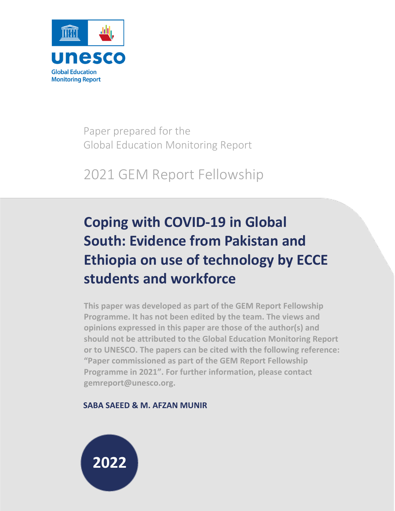

Paper prepared for the Global Education Monitoring Report

# 2021 GEM Report Fellowship

# **Coping with COVID-19 in Global South: Evidence from Pakistan and Ethiopia on use of technology by ECCE students and workforce**

**This paper was developed as part of the GEM Report Fellowship Programme. It has not been edited by the team. The views and opinions expressed in this paper are those of the author(s) and should not be attributed to the Global Education Monitoring Report or to UNESCO. The papers can be cited with the following reference: "Paper commissioned as part of the GEM Report Fellowship Programme in 2021". For further information, please contact gemreport@unesco.org.**

# **SABA SAEED & M. AFZAN MUNIR**

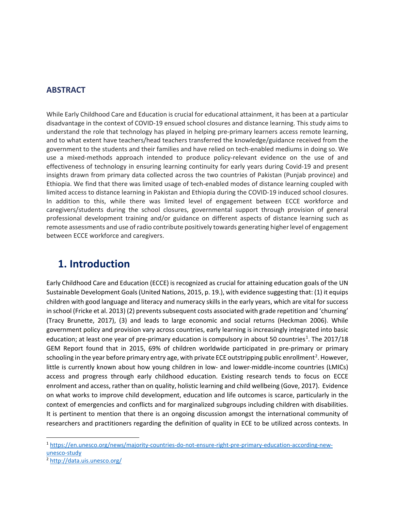### **ABSTRACT**

While Early Childhood Care and Education is crucial for educational attainment, it has been at a particular disadvantage in the context of COVID-19 ensued school closures and distance learning. This study aims to understand the role that technology has played in helping pre-primary learners access remote learning, and to what extent have teachers/head teachers transferred the knowledge/guidance received from the government to the students and their families and have relied on tech-enabled mediums in doing so. We use a mixed-methods approach intended to produce policy-relevant evidence on the use of and effectiveness of technology in ensuring learning continuity for early years during Covid-19 and present insights drawn from primary data collected across the two countries of Pakistan (Punjab province) and Ethiopia. We find that there was limited usage of tech-enabled modes of distance learning coupled with limited access to distance learning in Pakistan and Ethiopia during the COVID-19 induced school closures. In addition to this, while there was limited level of engagement between ECCE workforce and caregivers/students during the school closures, governmental support through provision of general professional development training and/or guidance on different aspects of distance learning such as remote assessments and use of radio contribute positively towards generating higher level of engagement between ECCE workforce and caregivers.

# **1. Introduction**

Early Childhood Care and Education (ECCE) is recognized as crucial for attaining education goals of the UN Sustainable Development Goals (United Nations, 2015, p. 19.), with evidence suggesting that: (1) it equips children with good language and literacy and numeracy skills in the early years, which are vital for success in school (Fricke et al. 2013) (2) prevents subsequent costs associated with grade repetition and 'churning' (Tracy Brunette, 2017), (3) and leads to large economic and social returns (Heckman 2006). While government policy and provision vary across countries, early learning is increasingly integrated into basic education; at least one year of pre-primary education is compulsory in about 50 countries<sup>[1](#page-1-0)</sup>. The 2017/18 GEM Report found that in 2015, 69% of children worldwide participated in pre-primary or primary schooling in the year before primary entry age, with private ECE outstripping public enrollment<sup>[2](#page-1-1)</sup>. However, little is currently known about how young children in low- and lower-middle-income countries (LMICs) access and progress through early childhood education. Existing research tends to focus on ECCE enrolment and access, rather than on quality, holistic learning and child wellbeing (Gove, 2017). Evidence on what works to improve child development, education and life outcomes is scarce, particularly in the context of emergencies and conflicts and for marginalized subgroups including children with disabilities. It is pertinent to mention that there is an ongoing discussion amongst the international community of researchers and practitioners regarding the definition of quality in ECE to be utilized across contexts. In

<span id="page-1-0"></span><sup>1</sup> [https://en.unesco.org/news/majority-countries-do-not-ensure-right-pre-primary-education-according-new](https://en.unesco.org/news/majority-countries-do-not-ensure-right-pre-primary-education-according-new-unesco-study)[unesco-study](https://en.unesco.org/news/majority-countries-do-not-ensure-right-pre-primary-education-according-new-unesco-study)

<span id="page-1-1"></span><sup>2</sup> <http://data.uis.unesco.org/>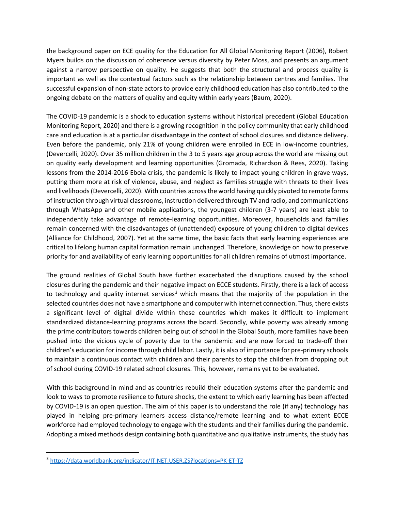the background paper on ECE quality for the Education for All Global Monitoring Report (2006), Robert Myers builds on the discussion of coherence versus diversity by Peter Moss, and presents an argument against a narrow perspective on quality. He suggests that both the structural and process quality is important as well as the contextual factors such as the relationship between centres and families. The successful expansion of non-state actors to provide early childhood education has also contributed to the ongoing debate on the matters of quality and equity within early years (Baum, 2020).

The COVID-19 pandemic is a shock to education systems without historical precedent (Global Education Monitoring Report, 2020) and there is a growing recognition in the policy community that early childhood care and education is at a particular disadvantage in the context of school closures and distance delivery. Even before the pandemic, only 21% of young children were enrolled in ECE in low-income countries, (Devercelli, 2020). Over 35 million children in the 3 to 5 years age group across the world are missing out on quality early development and learning opportunities (Gromada, Richardson & Rees, 2020). Taking lessons from the 2014-2016 Ebola crisis, the pandemic is likely to impact young children in grave ways, putting them more at risk of violence, abuse, and neglect as families struggle with threats to their lives and livelihoods (Devercelli, 2020). With countries across the world having quickly pivoted to remote forms of instruction through virtual classrooms, instruction delivered through TV and radio, and communications through WhatsApp and other mobile applications, the youngest children (3-7 years) are least able to independently take advantage of remote-learning opportunities. Moreover, households and families remain concerned with the disadvantages of (unattended) exposure of young children to digital devices (Alliance for Childhood, 2007). Yet at the same time, the basic facts that early learning experiences are critical to lifelong human capital formation remain unchanged. Therefore, knowledge on how to preserve priority for and availability of early learning opportunities for all children remains of utmost importance.

The ground realities of Global South have further exacerbated the disruptions caused by the school closures during the pandemic and their negative impact on ECCE students. Firstly, there is a lack of access to technology and quality internet services<sup>[3](#page-2-0)</sup> which means that the majority of the population in the selected countries does not have a smartphone and computer with internet connection. Thus, there exists a significant level of digital divide within these countries which makes it difficult to implement standardized distance-learning programs across the board. Secondly, while poverty was already among the prime contributors towards children being out of school in the Global South, more families have been pushed into the vicious cycle of poverty due to the pandemic and are now forced to trade-off their children's education for income through child labor. Lastly, it is also of importance for pre-primary schools to maintain a continuous contact with children and their parents to stop the children from dropping out of school during COVID-19 related school closures. This, however, remains yet to be evaluated.

With this background in mind and as countries rebuild their education systems after the pandemic and look to ways to promote resilience to future shocks, the extent to which early learning has been affected by COVID-19 is an open question. The aim of this paper is to understand the role (if any) technology has played in helping pre-primary learners access distance/remote learning and to what extent ECCE workforce had employed technology to engage with the students and their families during the pandemic. Adopting a mixed methods design containing both quantitative and qualitative instruments, the study has

<span id="page-2-0"></span><sup>3</sup> <https://data.worldbank.org/indicator/IT.NET.USER.ZS?locations=PK-ET-TZ>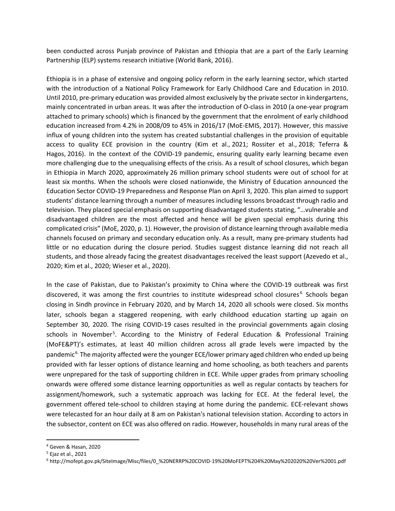been conducted across Punjab province of Pakistan and Ethiopia that are a part of the Early Learning Partnership (ELP) systems research initiative (World Bank, 2016).

Ethiopia is in a phase of extensive and ongoing policy reform in the early learning sector, which started with the introduction of a National Policy Framework for Early Childhood Care and Education in 2010. Until 2010, pre-primary education was provided almost exclusively by the private sector in kindergartens, mainly concentrated in urban areas. It was after the introduction of O-class in 2010 (a one-year program attached to primary schools) which is financed by the government that the enrolment of early childhood education increased from 4.2% in 2008/09 to 45% in 2016/17 (MoE-EMIS, 2017). However, this massive influx of young children into the system has created substantial challenges in the provision of equitable access to quality ECE provision in the country (Kim et al., [2021;](https://link.springer.com/article/10.1007/s10643-021-01214-0#ref-CR16) Rossiter et al., [2018;](https://link.springer.com/article/10.1007/s10643-021-01214-0#ref-CR27) Teferra & Hagos, [2016\)](https://link.springer.com/article/10.1007/s10643-021-01214-0#ref-CR32). In the context of the COVID-19 pandemic, ensuring quality early learning became even more challenging due to the unequalising effects of the crisis. As a result of school closures, which began in Ethiopia in March 2020, approximately [26 million](https://www.unicef.org/ethiopia/stories/case-safely-reopening-schools-ethiopia) primary school students were out of school for at least six months. When the schools were closed nationwide, the Ministry of Education announced the Education Sector COVID-19 Preparedness and Response Plan on April 3, 2020. This plan aimed to support students' distance learning through a number of measures including lessons broadcast through radio and television. They placed special emphasis on supporting disadvantaged students stating, "…vulnerable and disadvantaged children are the most affected and hence will be given special emphasis during this complicated crisis" (MoE, 2020, p. 1). However, the provision of distance learning through available media channels focused on primary and secondary education only. As a result, many pre-primary students had little or no education during the closure period. Studies suggest distance learning did not reach all students, and those already facing the greatest disadvantages received the least support (Azevedo et al., 2020; Kim et al., 2020; Wieser et al., 2020).

In the case of Pakistan, due to Pakistan's proximity to China where the COVID-19 outbreak was first discovered, it was among the first countries to institute widespread school closures<sup>[4](#page-3-0).</sup> Schools began closing in Sindh province in February 2020, and by March 14, 2020 all schools were closed. Six months later, schools began a staggered reopening, with early childhood education starting up again on September 30, 2020. The rising COVID-19 cases resulted in the provincial governments again closing schools in November<sup>[5](#page-3-1)</sup>. According to the Ministry of Federal Education & Professional Training (MoFE&PT)'s estimates, at least 40 million children across all grade levels were impacted by the pandemic<sup>[6](#page-3-2).</sup> The majority affected were the younger ECE/lower primary aged children who ended up being provided with far lesser options of distance learning and home schooling, as both teachers and parents were unprepared for the task of supporting children in ECE. While upper grades from primary schooling onwards were offered some distance learning opportunities as well as regular contacts by teachers for assignment/homework, such a systematic approach was lacking for ECE. At the federal level, the government offered tele-school to children staying at home during the pandemic. ECE-relevant shows were telecasted for an hour daily at 8 am on Pakistan's national television station. According to actors in the subsector, content on ECE was also offered on radio. However, households in many rural areas of the

<span id="page-3-0"></span><sup>4</sup> Geven & Hasan, 2020

<span id="page-3-1"></span><sup>5</sup> Ejaz et al., 2021

<span id="page-3-2"></span><sup>6</sup> http://mofept.gov.pk/SiteImage/Misc/files/0\_%20NERRP%20COVID-19%20MoFEPT%204%20May%202020%20Ver%2001.pdf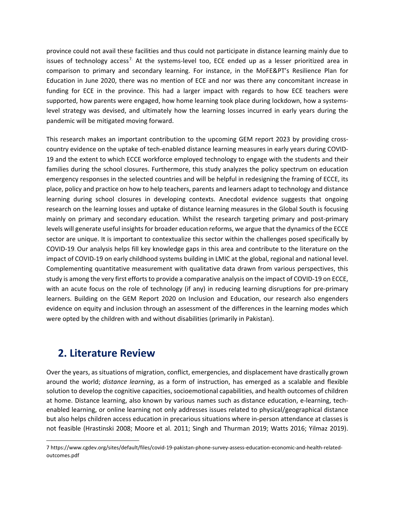province could not avail these facilities and thus could not participate in distance learning mainly due to issues of technology access<sup>[7.](#page-4-0)</sup> At the systems-level too, ECE ended up as a lesser prioritized area in comparison to primary and secondary learning. For instance, in the MoFE&PT's Resilience Plan for Education in June 2020, there was no mention of ECE and nor was there any concomitant increase in funding for ECE in the province. This had a larger impact with regards to how ECE teachers were supported, how parents were engaged, how home learning took place during lockdown, how a systemslevel strategy was devised, and ultimately how the learning losses incurred in early years during the pandemic will be mitigated moving forward.

This research makes an important contribution to the upcoming GEM report 2023 by providing crosscountry evidence on the uptake of tech-enabled distance learning measures in early years during COVID-19 and the extent to which ECCE workforce employed technology to engage with the students and their families during the school closures. Furthermore, this study analyzes the policy spectrum on education emergency responses in the selected countries and will be helpful in redesigning the framing of ECCE, its place, policy and practice on how to help teachers, parents and learners adapt to technology and distance learning during school closures in developing contexts. Anecdotal evidence suggests that ongoing research on the learning losses and uptake of distance learning measures in the Global South is focusing mainly on primary and secondary education. Whilst the research targeting primary and post-primary levels will generate useful insights for broader education reforms, we argue that the dynamics of the ECCE sector are unique. It is important to contextualize this sector within the challenges posed specifically by COVID-19. Our analysis helps fill key knowledge gaps in this area and contribute to the literature on the impact of COVID-19 on early childhood systems building in LMIC at the global, regional and national level. Complementing quantitative measurement with qualitative data drawn from various perspectives, this study is among the very first efforts to provide a comparative analysis on the impact of COVID-19 on ECCE, with an acute focus on the role of technology (if any) in reducing learning disruptions for pre-primary learners. Building on the GEM Report 2020 on Inclusion and Education, our research also engenders evidence on equity and inclusion through an assessment of the differences in the learning modes which were opted by the children with and without disabilities (primarily in Pakistan).

# **2. Literature Review**

Over the years, as situations of migration, conflict, emergencies, and displacement have drastically grown around the world; *distance learning*, as a form of instruction, has emerged as a scalable and flexible solution to develop the cognitive capacities, socioemotional capabilities, and health outcomes of children at home. Distance learning, also known by various names such as distance education, e-learning, techenabled learning, or online learning not only addresses issues related to physical/geographical distance but also helps children access education in precarious situations where in-person attendance at classes is not feasible (Hrastinski 2008; Moore et al. 2011; Singh and Thurman 2019; Watts 2016; Yilmaz 2019).

<span id="page-4-0"></span><sup>7</sup> https://www.cgdev.org/sites/default/files/covid-19-pakistan-phone-survey-assess-education-economic-and-health-relatedoutcomes.pdf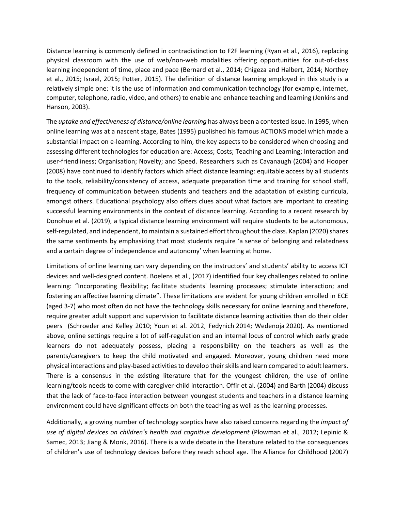Distance learning is commonly defined in contradistinction to F2F learning (Ryan et al., 2016), replacing physical classroom with the use of web/non-web modalities offering opportunities for out-of-class learning independent of time, place and pace (Bernard et al., 2014; Chigeza and Halbert, 2014; Northey et al., 2015; Israel, 2015; Potter, 2015). The definition of distance learning employed in this study is a relatively simple one: it is the use of information and communication technology (for example, internet, computer, telephone, radio, video, and others) to enable and enhance teaching and learning (Jenkins and Hanson, 2003).

The *uptake and effectiveness of distance/online learning* has always been a contested issue. In 1995, when online learning was at a nascent stage, Bates (1995) published his famous ACTIONS model which made a substantial impact on e-learning. According to him, the key aspects to be considered when choosing and assessing different technologies for education are: Access; Costs; Teaching and Learning; Interaction and user-friendliness; Organisation; Novelty; and Speed. Researchers such as Cavanaugh (2004) and Hooper (2008) have continued to identify factors which affect distance learning: equitable access by all students to the tools, reliability/consistency of access, adequate preparation time and training for school staff, frequency of communication between students and teachers and the adaptation of existing curricula, amongst others. Educational psychology also offers clues about what factors are important to creating successful learning environments in the context of distance learning. According to a recent research by Donohue et al. (2019), a typical distance learning environment will require students to be autonomous, self-regulated, and independent, to maintain a sustained effort throughout the class. Kaplan (2020) shares the same sentiments by emphasizing that most students require 'a sense of belonging and relatedness and a certain degree of independence and autonomy' when learning at home.

Limitations of online learning can vary depending on the instructors' and students' ability to access ICT devices and well-designed content. Boelens et al., (2017) identified four key challenges related to online learning: "Incorporating flexibility; facilitate students' learning processes; stimulate interaction; and fostering an affective learning climate". These limitations are evident for young children enrolled in ECE (aged 3-7) who most often do not have the technology skills necessary for online learning and therefore, require greater adult support and supervision to facilitate distance learning activities than do their older peers (Schroeder and Kelley 2010; Youn et al. 2012, Fedynich [2014;](https://link.springer.com/article/10.1007/s13158-020-00272-6#ref-CR3) Wedenoja [2020\)](https://link.springer.com/article/10.1007/s13158-020-00272-6#ref-CR24). As mentioned above, online settings require a lot of self-regulation and an internal locus of control which early grade learners do not adequately possess, placing a responsibility on the teachers as well as the parents/caregivers to keep the child motivated and engaged. Moreover, young children need more physical interactions and play-based activities to develop their skills and learn compared to adult learners. There is a consensus in the existing literature that for the youngest children, the use of online learning/tools needs to come with caregiver-child interaction. Offir et al. (2004) and Barth (2004) discuss that the lack of face-to-face interaction between youngest students and teachers in a distance learning environment could have significant effects on both the teaching as well as the learning processes.

Additionally, a growing number of technology sceptics have also raised concerns regarding the *impact of use of digital devices on children's health and cognitive development* (Plowman et al., 2012; Lepinic & Samec, 2013; Jiang & Monk, 2016). There is a wide debate in the literature related to the consequences of children's use of technology devices before they reach school age. The Alliance for Childhood (2007)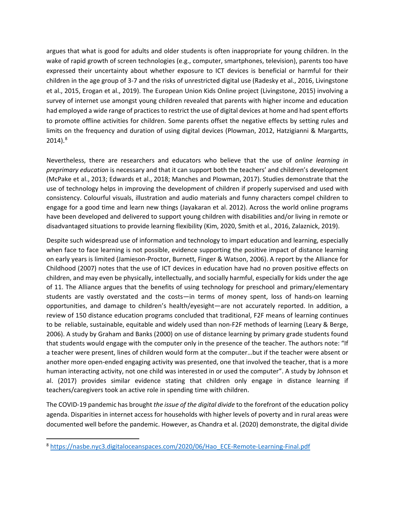argues that what is good for adults and older students is often inappropriate for young children. In the wake of rapid growth of screen technologies (e.g., computer, smartphones, television), parents too have expressed their uncertainty about whether exposure to ICT devices is beneficial or harmful for their children in the age group of 3-7 and the risks of unrestricted digital use [\(Radesky et al., 2016,](https://www.ncbi.nlm.nih.gov/pmc/articles/PMC7476883/#b0220) [Livingstone](https://www.ncbi.nlm.nih.gov/pmc/articles/PMC7476883/#b0155)  [et al., 2015,](https://www.ncbi.nlm.nih.gov/pmc/articles/PMC7476883/#b0155) Erogan et al., 2019). The European Union Kids Online project (Livingstone, 2015) involving a survey of internet use amongst young children revealed that parents with higher income and education had employed a wide range of practices to restrict the use of digital devices at home and had spent efforts to promote offline activities for children. Some parents offset the negative effects by setting rules and limits on the frequency and duration of using digital devices (Plowman, 2012, Hatzigianni & Margartts,  $2014$ ). $^{8}$  $^{8}$  $^{8}$ 

Nevertheless, there are researchers and educators who believe that the use of *online learning in preprimary education* is necessary and that it can support both the teachers' and children's development (McPake et al., [2013;](https://link.springer.com/article/10.1007/s13158-020-00272-6#ref-CR12) Edwards et al., [2018;](https://link.springer.com/article/10.1007/s13158-020-00272-6#ref-CR2) Manches and Plowman[, 2017\)](https://link.springer.com/article/10.1007/s13158-020-00272-6#ref-CR11). Studies demonstrate that the use of technology helps in improving the development of children if properly supervised and used with consistency. Colourful visuals, illustration and audio materials and funny characters compel children to engage for a good time and learn new things (Jayakaran et al. [2012\)](https://www.researchgate.net/profile/Saminda-Premaratne/publication/254037302_Enrich_preschool_education_through_blended_learning_environments/links/5478abbe0cf293e2da2b2a56/Enrich-preschool-education-through-blended-learning-environments.pdf). Across the world online programs have been developed and delivered to support young children with disabilities and/or living in remote or disadvantaged situations to provide learning flexibility (Kim, 2020, [Smith et al., 2016,](https://www.ncbi.nlm.nih.gov/pmc/articles/PMC7476883/#b0245) [Zalaznick, 2019\)](https://www.ncbi.nlm.nih.gov/pmc/articles/PMC7476883/#b0285).

Despite such widespread use of information and technology to impart education and learning, especially when face to face learning is not possible, evidence supporting the positive impact of distance learning on early years is limited (Jamieson-Proctor, Burnett, Finger & Watson, 2006). A report by the Alliance for Childhood (2007) notes that the use of ICT devices in education have had no proven positive effects on children, and may even be physically, intellectually, and socially harmful, especially for kids under the age of 11. The Alliance argues that the benefits of using technology for preschool and primary/elementary students are vastly overstated and the costs—in terms of money spent, loss of hands-on learning opportunities, and damage to children's health/eyesight—are not accurately reported. In addition, a review of 150 distance education programs concluded that traditional, F2F means of learning continues to be reliable, sustainable, equitable and widely used than non-F2F methods of learning (Leary & Berge, 2006). A study by Graham and Banks (2000) on use of distance learning by primary grade students found that students would engage with the computer only in the presence of the teacher. The authors note: "If a teacher were present, lines of children would form at the computer…but if the teacher were absent or another more open-ended engaging activity was presented, one that involved the teacher, that is a more human interacting activity, not one child was interested in or used the computer". A study by Johnson et al. (2017) provides similar evidence stating that children only engage in distance learning if teachers/caregivers took an active role in spending time with children.

The COVID-19 pandemic has brought *the issue of the digital divide* to the forefront of the education policy agenda. Disparities in internet access for households with higher levels of poverty and in rural areas were documented well before the pandemic. However, as Chandra et al. (2020) demonstrate, the digital divide

<span id="page-6-0"></span><sup>8</sup> [https://nasbe.nyc3.digitaloceanspaces.com/2020/06/Hao\\_ECE-Remote-Learning-Final.pdf](https://nasbe.nyc3.digitaloceanspaces.com/2020/06/Hao_ECE-Remote-Learning-Final.pdf)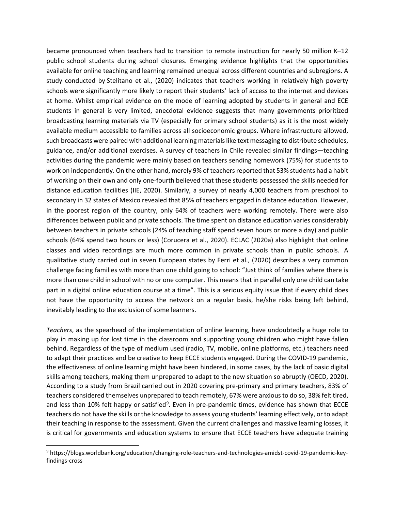became pronounced when teachers had to transition to remote instruction for nearly 50 million K–12 public school students during school closures. Emerging evidence highlights that the opportunities available for online teaching and learning remained unequal across different countries and subregions. A study conducted by [Stelitano et al., \(2020\)](https://www.frontiersin.org/articles/10.3389/feduc.2021.618323/full#B43) indicates that teachers working in relatively high poverty schools were significantly more likely to report their students' lack of access to the internet and devices at home. Whilst empirical evidence on the mode of learning adopted by students in general and ECE students in general is very limited, anecdotal evidence suggests that many governments prioritized broadcasting learning materials via TV (especially for primary school students) as it is the most widely available medium accessible to families across all socioeconomic groups. Where infrastructure allowed, such broadcasts were paired with additional learning materials like text messaging to distribute schedules, guidance, and/or additional exercises. A survey of teachers in Chile revealed similar findings—teaching activities during the pandemic were mainly based on teachers sending homework (75%) for students to work on independently. On the other hand, merely 9% of teachers reported that 53% students had a habit of working on their own and only one-fourth believed that these students possessed the skills needed for distance education facilities (IIE, 2020). Similarly, a survey of nearly 4,000 teachers from preschool to secondary in 32 states of Mexico revealed that 85% of teachers engaged in distance education. However, in the poorest region of the country, only 64% of teachers were working remotely. There were also differences between public and private schools. The time spent on distance education varies considerably between teachers in private schools (24% of teaching staff spend seven hours or more a day) and public schools (64% spend two hours or less) (Corucera et al., 2020). ECLAC (2020a) also highlight that online classes and video recordings are much more common in private schools than in public schools. A qualitative study carried out in seven European states by Ferri et al., (2020) describes a very common challenge facing families with more than one child going to school: "Just think of families where there is more than one child in school with no or one computer. This means that in parallel only one child can take part in a digital online education course at a time". This is a serious equity issue that if every child does not have the opportunity to access the network on a regular basis, he/she risks being left behind, inevitably leading to the exclusion of some learners.

*Teachers*, as the spearhead of the implementation of online learning, have undoubtedly a huge role to play in making up for lost time in the classroom and supporting young children who might have fallen behind. Regardless of the type of medium used (radio, TV, mobile, online platforms, etc.) teachers need to adapt their practices and be creative to keep ECCE students engaged. During the COVID-19 pandemic, the effectiveness of online learning might have been hindered, in some cases, by the lack of basic digital skills among teachers, making them unprepared to adapt to the new situation so abruptly (OECD, 2020). According to a study from Brazil carried out in 2020 covering pre-primary and primary teachers, 83% of teachers considered themselves unprepared to teach remotely, 67% were anxious to do so, 38% felt tired, and less than 10% felt happy or satisfied<sup>[9](#page-7-0)</sup>. Even in pre-pandemic times, evidence has shown that ECCE teachers do not have the skills or the knowledge to assess young students' learning effectively, or to adapt their teaching in response to the assessment. Given the current challenges and massive learning losses, it is critical for governments and education systems to ensure that ECCE teachers have adequate training

<span id="page-7-0"></span><sup>9</sup> https://blogs.worldbank.org/education/changing-role-teachers-and-technologies-amidst-covid-19-pandemic-keyfindings-cross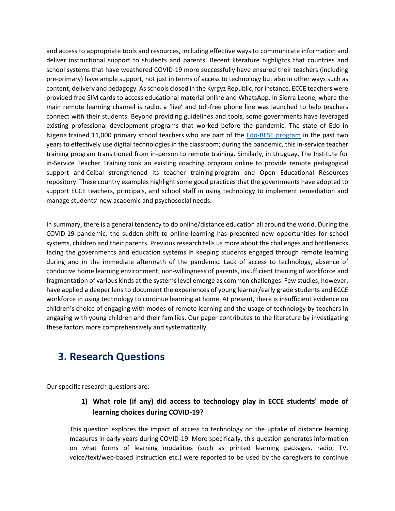and access to appropriate tools and resources, including effective ways to communicate information and deliver instructional support to students and parents. Recent literature highlights that countries and school systems that have weathered COVID-19 more successfully have ensured their teachers (including pre-primary) have ample support, not just in terms of access to technology but also in other ways such as content, delivery and pedagogy. As schools closed in the Kyrgyz Republic, for instance, ECCE teachers were provided free SIM cards to access educational material online and WhatsApp. In [Sierra Leone,](https://www.globalpartnership.org/blog/how-did-sierra-leone-implement-radio-instruction-during-ebola-crisis) where the main remote learning channel is radio, a 'live' and toll-free phone line was launched to help teachers connect with their students. Beyond providing guidelines and tools, some governments have leveraged existing professional development programs that worked before the pandemic. The state of Edo in Nigeria [trained 11,000 primary school teachers](https://www.bridgeinternationalacademies.com/teaching/government-teachers/edobest/) who are part of the [Edo-BEST program](https://oecdedutoday.com/wp-content/uploads/2020/11/Nigeria-Edo-BEST-at-Home.pdf) in the past two years to effectively use digital technologies in the classroom; during the pandemic, this in-service teacher training program transitioned from in-person to remote training. Similarly, in Uruguay, [The Institute for](https://www.ceip.edu.uy/IFS/index.php?option=com_content&view=category&layout=blog&id=17&Itemid=196)  [in-Service Teacher Training](https://www.ceip.edu.uy/IFS/index.php?option=com_content&view=category&layout=blog&id=17&Itemid=196) took an existing coaching program online to provide remote pedagogical support and [Ceibal strengthened its teacher training](https://www.ceibal.edu.uy/en/formacion-docente) program and Open Educational Resources repository. These country examples highlight some good practices that the governments have adopted to support ECCE teachers, principals, and school staff in using technology to implement remediation and manage students' new academic and psychosocial needs.

In summary, there is a general tendency to do online/distance education all around the world. During the COVID-19 pandemic, the sudden shift to online learning has presented new opportunities for school systems, children and their parents. Previous research tells us more about the challenges and bottlenecks facing the governments and education systems in keeping students engaged through remote learning during and in the immediate aftermath of the pandemic. Lack of access to technology, absence of conducive home learning environment, non-willingness of parents, insufficient training of workforce and fragmentation of various kinds at the systems level emerge as common challenges. Few studies, however, have applied a deeper lens to document the experiences of young learner/early grade students and ECCE workforce in using technology to continue learning at home. At present, there is insufficient evidence on children's choice of engaging with modes of remote learning and the usage of technology by teachers in engaging with young children and their families. Our paper contributes to the literature by investigating these factors more comprehensively and systematically.

# **3. Research Questions**

Our specific research questions are:

## **1) What role (if any) did access to technology play in ECCE students' mode of learning choices during COVID-19?**

This question explores the impact of access to technology on the uptake of distance learning measures in early years during COVID-19. More specifically, this question generates information on what forms of learning modalities (such as printed learning packages, radio, TV, voice/text/web-based instruction etc.) were reported to be used by the caregivers to continue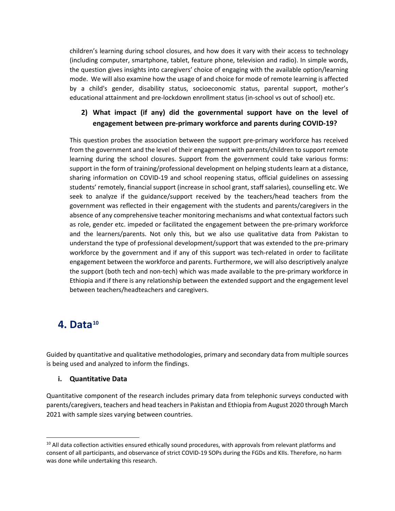children's learning during school closures, and how does it vary with their access to technology (including computer, smartphone, tablet, feature phone, television and radio). In simple words, the question gives insights into caregivers' choice of engaging with the available option/learning mode. We will also examine how the usage of and choice for mode of remote learning is affected by a child's gender, disability status, socioeconomic status, parental support, mother's educational attainment and pre-lockdown enrollment status (in-school vs out of school) etc.

## **2) What impact (if any) did the governmental support have on the level of engagement between pre-primary workforce and parents during COVID-19?**

This question probes the association between the support pre-primary workforce has received from the government and the level of their engagement with parents/children to support remote learning during the school closures. Support from the government could take various forms: support in the form of training/professional development on helping students learn at a distance, sharing information on COVID-19 and school reopening status, official guidelines on assessing students' remotely, financial support (increase in school grant, staff salaries), counselling etc. We seek to analyze if the guidance/support received by the teachers/head teachers from the government was reflected in their engagement with the students and parents/caregivers in the absence of any comprehensive teacher monitoring mechanisms and what contextual factors such as role, gender etc. impeded or facilitated the engagement between the pre-primary workforce and the learners/parents. Not only this, but we also use qualitative data from Pakistan to understand the type of professional development/support that was extended to the pre-primary workforce by the government and if any of this support was tech-related in order to facilitate engagement between the workforce and parents. Furthermore, we will also descriptively analyze the support (both tech and non-tech) which was made available to the pre-primary workforce in Ethiopia and if there is any relationship between the extended support and the engagement level between teachers/headteachers and caregivers.

# **4. Data[10](#page-9-0)**

Guided by quantitative and qualitative methodologies, primary and secondary data from multiple sources is being used and analyzed to inform the findings.

### **i. Quantitative Data**

Quantitative component of the research includes primary data from telephonic surveys conducted with parents/caregivers, teachers and head teachers in Pakistan and Ethiopia from August 2020 through March 2021 with sample sizes varying between countries.

<span id="page-9-0"></span> $10$  All data collection activities ensured ethically sound procedures, with approvals from relevant platforms and consent of all participants, and observance of strict COVID-19 SOPs during the FGDs and KIIs. Therefore, no harm was done while undertaking this research.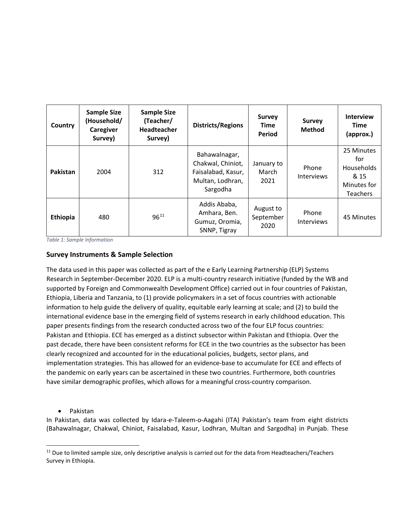| Country  | <b>Sample Size</b><br>(Household/<br>Caregiver<br>Survey) | <b>Sample Size</b><br>(Teacher/<br>Headteacher<br>Survey) | <b>Districts/Regions</b>                                                                 | <b>Survey</b><br>Time<br>Period | <b>Survey</b><br><b>Method</b> | <b>Interview</b><br>Time<br>(approx.)                                     |
|----------|-----------------------------------------------------------|-----------------------------------------------------------|------------------------------------------------------------------------------------------|---------------------------------|--------------------------------|---------------------------------------------------------------------------|
| Pakistan | 2004                                                      | 312                                                       | Bahawalnagar,<br>Chakwal, Chiniot,<br>Faisalabad, Kasur,<br>Multan, Lodhran,<br>Sargodha | January to<br>March<br>2021     | Phone<br><b>Interviews</b>     | 25 Minutes<br>for<br>Households<br>& 15<br>Minutes for<br><b>Teachers</b> |
| Ethiopia | 480                                                       | $96^{11}$                                                 | Addis Ababa,<br>Amhara, Ben.<br>Gumuz, Oromia,<br>SNNP, Tigray                           | August to<br>September<br>2020  | Phone<br>Interviews            | 45 Minutes                                                                |

*Table 1: Sample Information*

#### **Survey Instruments & Sample Selection**

The data used in this paper was collected as part of the e Early Learning Partnership (ELP) Systems Research in September-December 2020. ELP is a multi-country research initiative (funded by the WB and supported by Foreign and Commonwealth Development Office) carried out in four countries of Pakistan, Ethiopia, Liberia and Tanzania, to (1) provide policymakers in a set of focus countries with actionable information to help guide the delivery of quality, equitable early learning at scale; and (2) to build the international evidence base in the emerging field of systems research in early childhood education. This paper presents findings from the research conducted across two of the four ELP focus countries: Pakistan and Ethiopia. ECE has emerged as a distinct subsector within Pakistan and Ethiopia. Over the past decade, there have been consistent reforms for ECE in the two countries as the subsector has been clearly recognized and accounted for in the educational policies, budgets, sector plans, and implementation strategies. This has allowed for an evidence-base to accumulate for ECE and effects of the pandemic on early years can be ascertained in these two countries. Furthermore, both countries have similar demographic profiles, which allows for a meaningful cross-country comparison.

#### • Pakistan

In Pakistan, data was collected by Idara-e-Taleem-o-Aagahi (ITA) Pakistan's team from eight districts (Bahawalnagar, Chakwal, Chiniot, Faisalabad, Kasur, Lodhran, Multan and Sargodha) in Punjab. These

<span id="page-10-0"></span><sup>&</sup>lt;sup>11</sup> Due to limited sample size, only descriptive analysis is carried out for the data from Headteachers/Teachers Survey in Ethiopia.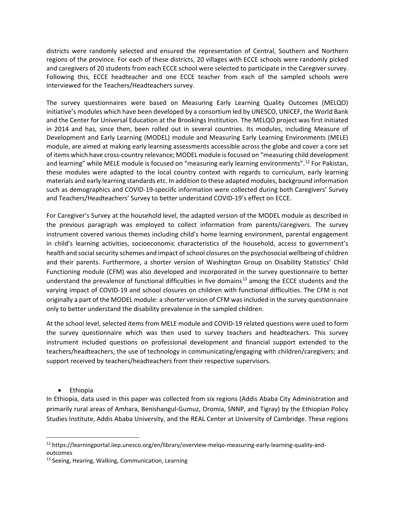districts were randomly selected and ensured the representation of Central, Southern and Northern regions of the province. For each of these districts, 20 villages with ECCE schools were randomly picked and caregivers of 20 students from each ECCE school were selected to participate in the Caregiver survey. Following this, ECCE headteacher and one ECCE teacher from each of the sampled schools were interviewed for the Teachers/Headteachers survey.

The survey questionnaires were based on Measuring Early Learning Quality Outcomes (MELQO) initiative's modules which have been developed by a consortium led by UNESCO, UNICEF, the World Bank and the Center for Universal Education at the Brookings Institution. The MELQO project was first initiated in 2014 and has, since then, been rolled out in several countries. Its modules, including Measure of Development and Early Learning (MODEL) module and Measuring Early Learning Environments (MELE) module, are aimed at making early learning assessments accessible across the globe and cover a core set of items which have cross-country relevance; MODEL module isfocused on "measuring child development and learning" while MELE module is focused on "measuring early learning environments".<sup>[12](#page-11-0)</sup> For Pakistan, these modules were adapted to the local country context with regards to curriculum, early learning materials and early learning standards etc. In addition to these adapted modules, background information such as demographics and COVID-19-speciifc information were collected during both Caregivers' Survey and Teachers/Headteachers' Survey to better understand COVID-19's effect on ECCE.

For Caregiver's Survey at the household level, the adapted version of the MODEL module as described in the previous paragraph was employed to collect information from parents/caregivers. The survey instrument covered various themes including child's home learning environment, parental engagement in child's learning activities, socioeconomic characteristics of the household, access to government's health and social security schemes and impact of school closures on the psychosocial wellbeing of children and their parents. Furthermore, a shorter version of Washington Group on Disability Statistics' Child Functioning module (CFM) was also developed and incorporated in the survey questionnaire to better understand the prevalence of functional difficulties in five domains<sup>[13](#page-11-1)</sup> among the ECCE students and the varying impact of COVID-19 and school closures on children with functional difficulties. The CFM is not originally a part of the MODEL module: a shorter version of CFM was included in the survey questionnaire only to better understand the disability prevalence in the sampled children.

At the school level, selected items from MELE module and COVID-19 related questions were used to form the survey questionnaire which was then used to survey teachers and headteachers. This survey instrument included questions on professional development and financial support extended to the teachers/headteachers; the use of technology in communicating/engaging with children/caregivers; and support received by teachers/headteachers from their respective supervisors.

• Ethiopia

In Ethiopia, data used in this paper was collected from six regions (Addis Ababa City Administration and primarily rural areas of Amhara, Benishangul-Gumuz, Oromia, SNNP, and Tigray) by the Ethiopian Policy Studies Institute, Addis Ababa University, and the REAL Center at University of Cambridge. These regions

<span id="page-11-0"></span><sup>&</sup>lt;sup>12</sup> https://learningportal.iiep.unesco.org/en/library/overview-melqo-measuring-early-learning-quality-andoutcomes

<span id="page-11-1"></span><sup>&</sup>lt;sup>13</sup> Seeing, Hearing, Walking, Communication, Learning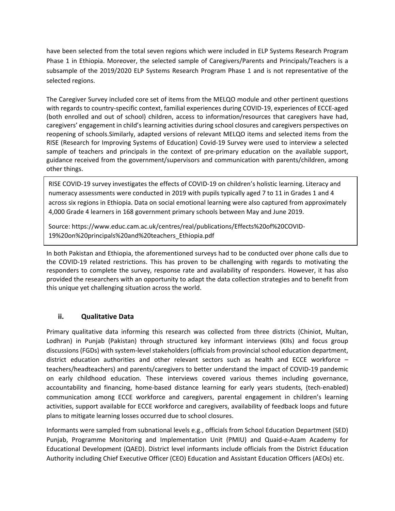have been selected from the total seven regions which were included in ELP Systems Research Program Phase 1 in Ethiopia. Moreover, the selected sample of Caregivers/Parents and Principals/Teachers is a subsample of the 2019/2020 ELP Systems Research Program Phase 1 and is not representative of the selected regions.

The Caregiver Survey included core set of items from the MELQO module and other pertinent questions with regards to country-specific context, familial experiences during COVID-19, experiences of ECCE-aged (both enrolled and out of school) children, access to information/resources that caregivers have had, caregivers' engagement in child's learning activities during school closures and caregivers perspectives on reopening of schools.Similarly, adapted versions of relevant MELQO items and selected items from the [RISE \(Research for Improving Systems of Education\) Covid-19 Survey](https://riseprogramme.org/blog/reopening-schools-ethiopia-perspectives) were used to interview a selected sample of teachers and principals in the context of pre-primary education on the available support, guidance received from the government/supervisors and communication with parents/children, among other things.

RISE COVID-19 survey investigates the effects of COVID-19 on children's holistic learning. Literacy and numeracy assessments were conducted in 2019 with pupils typically aged 7 to 11 in Grades 1 and 4 across six regions in Ethiopia. Data on social emotional learning were also captured from approximately 4,000 Grade 4 learners in 168 government primary schools between May and June 2019.

Source: https://www.educ.cam.ac.uk/centres/real/publications/Effects%20of%20COVID-19%20on%20principals%20and%20teachers\_Ethiopia.pdf

In both Pakistan and Ethiopia, the aforementioned surveys had to be conducted over phone calls due to the COVID-19 related restrictions. This has proven to be challenging with regards to motivating the responders to complete the survey, response rate and availability of responders. However, it has also provided the researchers with an opportunity to adapt the data collection strategies and to benefit from this unique yet challenging situation across the world.

#### **ii. Qualitative Data**

Primary qualitative data informing this research was collected from three districts (Chiniot, Multan, Lodhran) in Punjab (Pakistan) through structured key informant interviews (KIIs) and focus group discussions (FGDs) with system-level stakeholders (officials from provincial school education department, district education authorities and other relevant sectors such as health and ECCE workforce – teachers/headteachers) and parents/caregivers to better understand the impact of COVID-19 pandemic on early childhood education. These interviews covered various themes including governance, accountability and financing, home-based distance learning for early years students, (tech-enabled) communication among ECCE workforce and caregivers, parental engagement in children's learning activities, support available for ECCE workforce and caregivers, availability of feedback loops and future plans to mitigate learning losses occurred due to school closures.

Informants were sampled from subnational levels e.g., officials from School Education Department (SED) Punjab, Programme Monitoring and Implementation Unit (PMIU) and Quaid-e-Azam Academy for Educational Development (QAED). District level informants include officials from the District Education Authority including Chief Executive Officer (CEO) Education and Assistant Education Officers (AEOs) etc.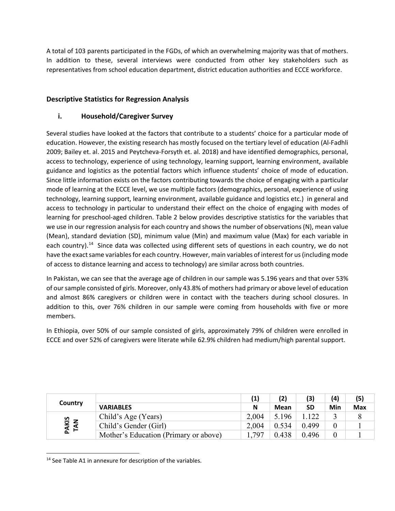A total of 103 parents participated in the FGDs, of which an overwhelming majority was that of mothers. In addition to these, several interviews were conducted from other key stakeholders such as representatives from school education department, district education authorities and ECCE workforce.

### **Descriptive Statistics for Regression Analysis**

### **i. Household/Caregiver Survey**

Several studies have looked at the factors that contribute to a students' choice for a particular mode of education. However, the existing research has mostly focused on the tertiary level of education (Al-Fadhli 2009; Bailey et. al. 2015 and Peytcheva-Forsyth et. al. 2018) and have identified demographics, personal, access to technology, experience of using technology, learning support, learning environment, available guidance and logistics as the potential factors which influence students' choice of mode of education. Since little information exists on the factors contributing towards the choice of engaging with a particular mode of learning at the ECCE level, we use multiple factors (demographics, personal, experience of using technology, learning support, learning environment, available guidance and logistics etc.) in general and access to technology in particular to understand their effect on the choice of engaging with modes of learning for preschool-aged children. Table 2 below provides descriptive statistics for the variables that we use in our regression analysis for each country and shows the number of observations (N), mean value (Mean), standard deviation (SD), minimum value (Min) and maximum value (Max) for each variable in each country).<sup>[14](#page-13-0)</sup> Since data was collected using different sets of questions in each country, we do not have the exact same variables for each country. However, main variables of interest for us (including mode of access to distance learning and access to technology) are similar across both countries.

In Pakistan, we can see that the average age of children in our sample was 5.196 years and that over 53% of our sample consisted of girls. Moreover, only 43.8% of mothers had primary or above level of education and almost 86% caregivers or children were in contact with the teachers during school closures. In addition to this, over 76% children in our sample were coming from households with five or more members.

In Ethiopia, over 50% of our sample consisted of girls, approximately 79% of children were enrolled in ECCE and over 52% of caregivers were literate while 62.9% children had medium/high parental support.

|                      |                                       |       | (2)   | (3)   | (4) | (5)        |
|----------------------|---------------------------------------|-------|-------|-------|-----|------------|
| Country              | <b>VARIABLES</b>                      | N     | Mean  | SD    | Min | <b>Max</b> |
|                      | Child's Age (Years)                   | 2.004 | 5.196 | .122  |     |            |
| <b>PAKIS<br/>TAN</b> | Child's Gender (Girl)                 | 2.004 | 0.534 | 0.499 |     |            |
|                      | Mother's Education (Primary or above) | .797  | 0.438 | 0.496 |     |            |

<span id="page-13-0"></span><sup>&</sup>lt;sup>14</sup> See Table A1 in annexure for description of the variables.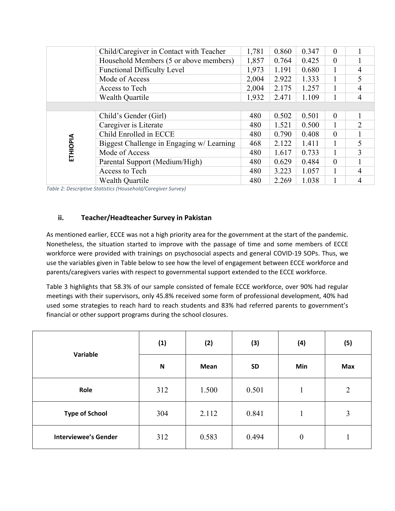|          | Child/Caregiver in Contact with Teacher   | 1,781 | 0.860 | 0.347 | $\theta$     |   |
|----------|-------------------------------------------|-------|-------|-------|--------------|---|
|          | Household Members (5 or above members)    | 1,857 | 0.764 | 0.425 | $\mathbf{0}$ |   |
|          | <b>Functional Difficulty Level</b>        | 1,973 | 1.191 | 0.680 |              | 4 |
|          | Mode of Access                            | 2,004 | 2.922 | 1.333 |              |   |
|          | Access to Tech                            | 2,004 | 2.175 | 1.257 |              | 4 |
|          | Wealth Quartile                           | 1,932 | 2.471 | 1.109 |              | 4 |
|          |                                           |       |       |       |              |   |
|          | Child's Gender (Girl)                     | 480   | 0.502 | 0.501 | $\theta$     |   |
|          | Caregiver is Literate                     | 480   | 1.521 | 0.500 |              | 2 |
|          | Child Enrolled in ECCE                    | 480   | 0.790 | 0.408 | $\theta$     |   |
| ETHIOPIA | Biggest Challenge in Engaging w/ Learning | 468   | 2.122 | 1.411 |              |   |
|          | Mode of Access                            | 480   | 1.617 | 0.733 |              | 3 |
|          | Parental Support (Medium/High)            | 480   | 0.629 | 0.484 | $\theta$     |   |
|          | Access to Tech                            | 480   | 3.223 | 1.057 |              | 4 |
|          | <b>Wealth Quartile</b>                    | 480   | 2.269 | 1.038 |              | 4 |

*Table 2: Descriptive Statistics (Household/Caregiver Survey)* 

#### **ii. Teacher/Headteacher Survey in Pakistan**

As mentioned earlier, ECCE was not a high priority area for the government at the start of the pandemic. Nonetheless, the situation started to improve with the passage of time and some members of ECCE workforce were provided with trainings on psychosocial aspects and general COVID-19 SOPs. Thus, we use the variables given in Table below to see how the level of engagement between ECCE workforce and parents/caregivers varies with respect to governmental support extended to the ECCE workforce.

Table 3 highlights that 58.3% of our sample consisted of female ECCE workforce, over 90% had regular meetings with their supervisors, only 45.8% received some form of professional development, 40% had used some strategies to reach hard to reach students and 83% had referred parents to government's financial or other support programs during the school closures.

| Variable                    | (1)                       | (2)         | (3)       | (4)              | (5)            |
|-----------------------------|---------------------------|-------------|-----------|------------------|----------------|
|                             | $\boldsymbol{\mathsf{N}}$ | <b>Mean</b> | <b>SD</b> | Min              | Max            |
| Role                        | 312                       | 1.500       | 0.501     | $\mathbf{1}$     | $\overline{2}$ |
| <b>Type of School</b>       | 304                       | 2.112       | 0.841     | $\mathbf{1}$     | 3              |
| <b>Interviewee's Gender</b> | 312                       | 0.583       | 0.494     | $\boldsymbol{0}$ |                |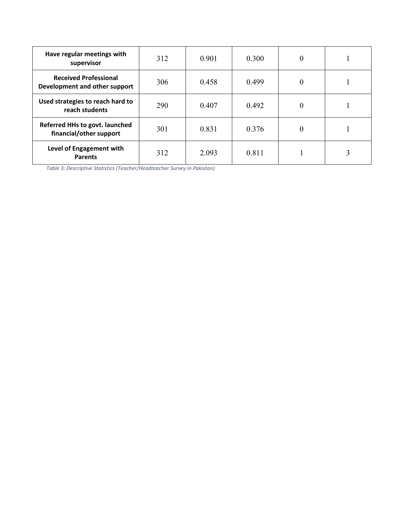| Have regular meetings with<br>supervisor                      | 312 | 0.901 | 0.300 | $\theta$ |  |
|---------------------------------------------------------------|-----|-------|-------|----------|--|
| <b>Received Professional</b><br>Development and other support | 306 | 0.458 | 0.499 | $\theta$ |  |
| Used strategies to reach hard to<br>reach students            | 290 | 0.407 | 0.492 | $\theta$ |  |
| Referred HHs to govt. launched<br>financial/other support     | 301 | 0.831 | 0.376 | $\theta$ |  |
| Level of Engagement with<br><b>Parents</b>                    | 312 | 2.093 | 0.811 |          |  |

*Table 3: Descriptive Statistics (Teacher/Headteacher Survey in Pakistan)*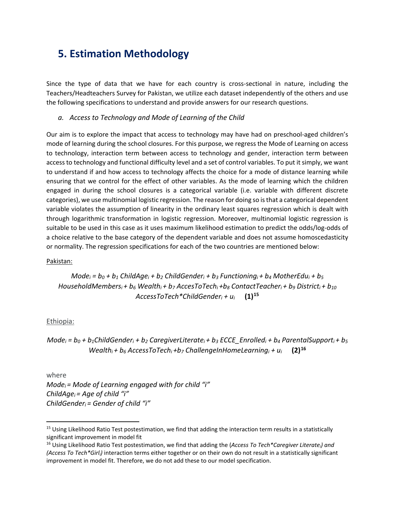# **5. Estimation Methodology**

Since the type of data that we have for each country is cross-sectional in nature, including the Teachers/Headteachers Survey for Pakistan, we utilize each dataset independently of the others and use the following specifications to understand and provide answers for our research questions.

#### *a. Access to Technology and Mode of Learning of the Child*

Our aim is to explore the impact that access to technology may have had on preschool-aged children's mode of learning during the school closures. For this purpose, we regress the Mode of Learning on access to technology, interaction term between access to technology and gender, interaction term between access to technology and functional difficulty level and a set of control variables. To put it simply, we want to understand if and how access to technology affects the choice for a mode of distance learning while ensuring that we control for the effect of other variables. As the mode of learning which the children engaged in during the school closures is a categorical variable (i.e. variable with different discrete categories), we use multinomial logistic regression. The reason for doing so is that a categorical dependent variable violates the assumption of linearity in the ordinary least squares regression which is dealt with through logarithmic transformation in logistic regression. Moreover, multinomial logistic regression is suitable to be used in this case as it uses maximum likelihood estimation to predict the odds/log-odds of a choice relative to the base category of the dependent variable and does not assume homoscedasticity or normality. The regression specifications for each of the two countries are mentioned below:

#### Pakistan:

 $Mode_i = b_0 + b_1$  *ChildAge<sub>i</sub>* +  $b_2$  *ChildGender<sub>i</sub>* +  $b_3$  *Functioning<sub>i</sub>* +  $b_4$  *MotherEdu<sub>i</sub>* +  $b_5$ *HouseholdMembersi + b6 Wealthi + b7 AccesToTechi +b8 ContactTeacheri + b9 Districti + b10 AccessToTech\*ChildGenderi + ui* **(1)[15](#page-16-0)**

#### Ethiopia:

*Mode*<sub>i</sub> =  $b_0$  +  $b_1$ ChildGender<sub>i</sub> +  $b_2$  CaregiverLiterate<sub>i</sub> +  $b_3$  *ECCE\_Enrolled<sub>i</sub>* +  $b_4$  *ParentalSupport<sub>i</sub>* +  $b_5$ *Wealthi + b6 AccessToTechi +b7 ChallengeInHomeLearningi + ui* **(2)[16](#page-16-1)**

where

*Modei = Mode of Learning engaged with for child "i" ChildAgei = Age of child "i" ChildGenderi = Gender of child "i"*

<span id="page-16-0"></span><sup>&</sup>lt;sup>15</sup> Using Likelihood Ratio Test postestimation, we find that adding the interaction term results in a statistically significant improvement in model fit

<span id="page-16-1"></span><sup>16</sup> Using Likelihood Ratio Test postestimation, we find that adding the (*Access To Tech\*Caregiver Literatei) and (Access To Tech\*Girli)* interaction terms either together or on their own do not result in a statistically significant improvement in model fit. Therefore, we do not add these to our model specification.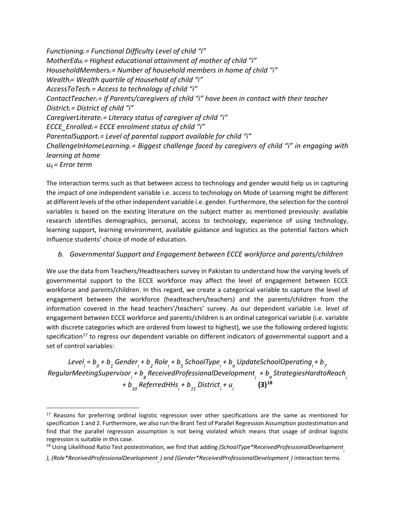```
Functioningi = Functional Difficulty Level of child "i" 
MotherEdui = Highest educational attainment of mother of child "i" 
HouseholdMembersi = Number of household members in home of child "i"
Wealthi= Wealth quartile of Household of child "i" 
AccessToTechi = Access to technology of child "i" 
ContactTeacheri = If Parents/caregivers of child "i" have been in contact with their teacher
Districti = District of child "i"
CaregiverLiteratei = Literacy status of caregiver of child "i"
ECCE_Enrolledi = ECCE enrolment status of child "i"
ParentalSupporti = Level of parental support available for child "i"
ChallengeInHomeLearningi = Biggest challenge faced by caregivers of child "i" in engaging with 
learning at home
uij = Error term
```
The interaction terms such as that between access to technology and gender would help us in capturing the impact of one independent variable i.e. access to technology on Mode of Learning might be different at different levels of the other independent variable i.e. gender. Furthermore, the selection for the control variables is based on the existing literature on the subject matter as mentioned previously: available research identifies demographics, personal, access to technology, experience of using technology, learning support, learning environment, available guidance and logistics as the potential factors which influence students' choice of mode of education.

### *b. Governmental Support and Engagement between ECCE workforce and parents/children*

We use the data from Teachers/Headteachers survey in Pakistan to understand how the varying levels of governmental support to the ECCE workforce may affect the level of engagement between ECCE workforce and parents/children. In this regard, we create a categorical variable to capture the level of engagement between the workforce (headteachers/teachers) and the parents/children from the information covered in the head teachers'/teachers' survey. As our dependent variable i.e. level of engagement between ECCE workforce and parents/children is an ordinal categorical variable (i.e. variable with discrete categories which are ordered from lowest to highest), we use the following ordered logistic specification<sup>[17](#page-17-0)</sup> to regress our dependent variable on different indicators of governmental support and a set of control variables:

Level<sub>i</sub> = b<sub>0</sub> + b<sub>1</sub> Gender<sub>i</sub> + b<sub>2</sub> Role<sub>i</sub> + b<sub>5</sub> SchoolType<sub>i</sub> + b<sub>6</sub> UpdateSchoolOperating<sub>i</sub> + b<sub>7</sub> *RegularMeetingSupervisori + b <sup>8</sup> ReceivedProfessionalDevelopmenti + b <sup>9</sup> StrategiesHardtoReachi + b <sup>10</sup> ReferredHHsi + b 11 District i + u i* **(3)[18](#page-17-1)**

<span id="page-17-0"></span><sup>&</sup>lt;sup>17</sup> Reasons for preferring ordinal logistic regression over other specifications are the same as mentioned for specification 1 and 2. Furthermore, we also run the Brant Test of Parallel Regression Assumption postestimation and find that the parallel regression assumption is not being violated which means that usage of ordinal logistic regression is suitable in this case.

<span id="page-17-1"></span><sup>&</sup>lt;sup>18</sup> Using Likelihood Ratio Test postestimation, we find that adding *(SchoolType\*ReceivedProfessionalDevelopment* 

<sup>), (</sup>Role\*ReceivedProfessionalDevelopment<sub>,</sub> ) and (Gender\*ReceivedProfessionalDevelopment<sub>,</sub>) interaction terms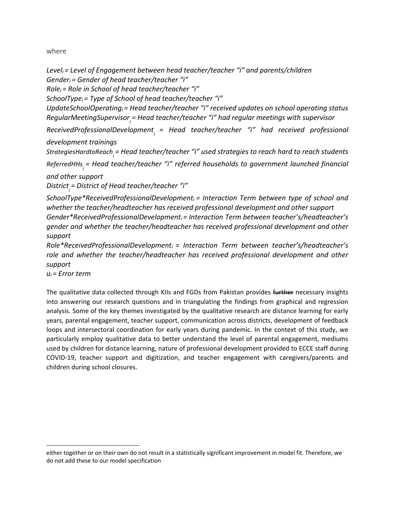where

```
Leveli = Level of Engagement between head teacher/teacher "i" and parents/children
Genderi = Gender of head teacher/teacher "i" 
Rolei = Role in School of head teacher/teacher "i" 
SchoolTypei = Type of School of head teacher/teacher "i" 
UpdateSchoolOperatingi = Head teacher/teacher "i" received updates on school operating status 
RegularMeetingSupervisor<sub>,</sub> = Head teacher/teacher "i" had regular meetings with supervisor
ReceivedProfessionalDevelopment<sub>;</sub> = Head teacher/teacher "i" had received professional
development trainings
StrategiesHardtoReachi 
= Head teacher/teacher "i" used strategies to reach hard to reach students
ReferredHHsi 
= Head teacher/teacher "i" referred households to government launched financial 
and other support
District
i 
= District of Head teacher/teacher "i"
SchoolType*ReceivedProfessionalDevelopment<sub>i</sub> = Interaction Term between type of school and
whether the teacher/headteacher has received professional development and other support 
Gender*ReceivedProfessionalDevelopmenti = Interaction Term between teacher's/headteacher's 
gender and whether the teacher/headteacher has received professional development and other 
support
Role*ReceivedProfessionalDevelopmenti = Interaction Term between teacher's/headteacher's 
role and whether the teacher/headteacher has received professional development and other
```

```
support
```
*ui = Error term*

The qualitative data collected through KIIs and FGDs from Pakistan provides further necessary insights into answering our research questions and in triangulating the findings from graphical and regression analysis. Some of the key themes investigated by the qualitative research are distance learning for early years, parental engagement, teacher support, communication across districts, development of feedback loops and intersectoral coordination for early years during pandemic. In the context of this study, we particularly employ qualitative data to better understand the level of parental engagement, mediums used by children for distance learning, nature of professional development provided to ECCE staff during COVID-19, teacher support and digitization, and teacher engagement with caregivers/parents and children during school closures.

either together or on their own do not result in a statistically significant improvement in model fit. Therefore, we do not add these to our model specification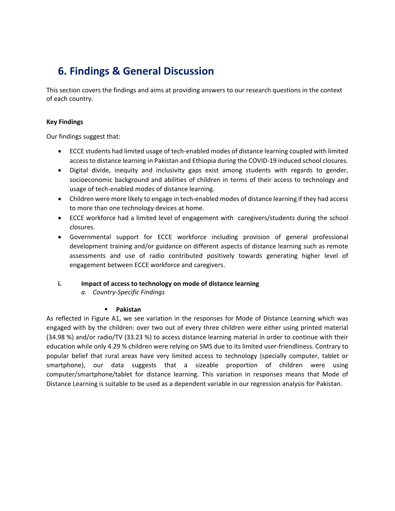# **6. Findings & General Discussion**

This section covers the findings and aims at providing answers to our research questions in the context of each country.

#### **Key Findings**

Our findings suggest that:

- ECCE students had limited usage of tech-enabled modes of distance learning coupled with limited access to distance learning in Pakistan and Ethiopia during the COVID-19 induced school closures.
- Digital divide, inequity and inclusivity gaps exist among students with regards to gender, socioeconomic background and abilities of children in terms of their access to technology and usage of tech-enabled modes of distance learning.
- Children were more likely to engage in tech-enabled modes of distance learning if they had access to more than one technology devices at home.
- ECCE workforce had a limited level of engagement with caregivers/students during the school closures.
- Governmental support for ECCE workforce including provision of general professional development training and/or guidance on different aspects of distance learning such as remote assessments and use of radio contributed positively towards generating higher level of engagement between ECCE workforce and caregivers.

#### **i. Impact of access to technology on mode of distance learning**

*a. Country-Specific Findings*

#### **Pakistan**

As reflected in Figure A1, we see variation in the responses for Mode of Distance Learning which was engaged with by the children: over two out of every three children were either using printed material (34.98 %) and/or radio/TV (33.23 %) to access distance learning material in order to continue with their education while only 4.29 % children were relying on SMS due to its limited user-friendliness. Contrary to popular belief that rural areas have very limited access to technology (specially computer, tablet or smartphone), our data suggests that a sizeable proportion of children were using computer/smartphone/tablet for distance learning. This variation in responses means that Mode of Distance Learning is suitable to be used as a dependent variable in our regression analysis for Pakistan.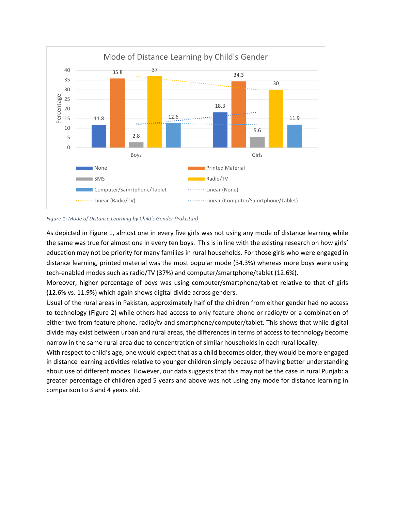

#### *Figure 1: Mode of Distance Learning by Child's Gender (Pakistan)*

As depicted in Figure 1, almost one in every five girls was not using any mode of distance learning while the same was true for almost one in every ten boys. This is in line with the existing research on how girls' education may not be priority for many families in rural households. For those girls who were engaged in distance learning, printed material was the most popular mode (34.3%) whereas more boys were using tech-enabled modes such as radio/TV (37%) and computer/smartphone/tablet (12.6%).

Moreover, higher percentage of boys was using computer/smartphone/tablet relative to that of girls (12.6% vs. 11.9%) which again shows digital divide across genders.

Usual of the rural areas in Pakistan, approximately half of the children from either gender had no access to technology (Figure 2) while others had access to only feature phone or radio/tv or a combination of either two from feature phone, radio/tv and smartphone/computer/tablet. This shows that while digital divide may exist between urban and rural areas, the differences in terms of access to technology become narrow in the same rural area due to concentration of similar households in each rural locality.

With respect to child's age, one would expect that as a child becomes older, they would be more engaged in distance learning activities relative to younger children simply because of having better understanding about use of different modes. However, our data suggests that this may not be the case in rural Punjab: a greater percentage of children aged 5 years and above was not using any mode for distance learning in comparison to 3 and 4 years old.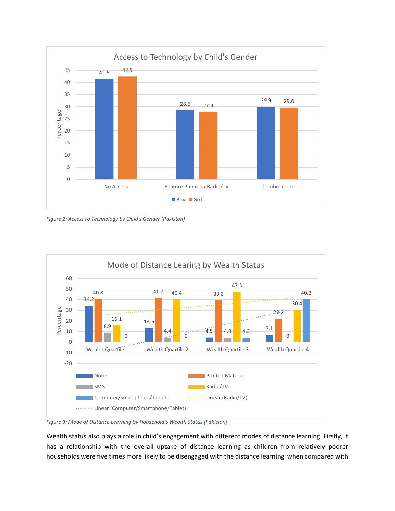

*Figure 2: Access to Technology by Child's Gender (Pakistan)*



*Figure 3: Mode of Distance Learning by Household's Wealth Status (Pakistan)*

Wealth status also plays a role in child's engagement with different modes of distance learning. Firstly, it has a relationship with the overall uptake of distance learning as children from relatively poorer households were five times more likely to be disengaged with the distance learning when compared with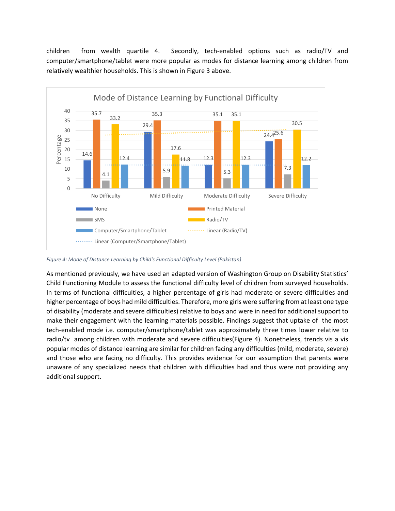children from wealth quartile 4. Secondly, tech-enabled options such as radio/TV and computer/smartphone/tablet were more popular as modes for distance learning among children from relatively wealthier households. This is shown in Figure 3 above.



*Figure 4: Mode of Distance Learning by Child's Functional Difficulty Level (Pakistan)*

As mentioned previously, we have used an adapted version of Washington Group on Disability Statistics' Child Functioning Module to assess the functional difficulty level of children from surveyed households. In terms of functional difficulties, a higher percentage of girls had moderate or severe difficulties and higher percentage of boys had mild difficulties. Therefore, more girls were suffering from at least one type of disability (moderate and severe difficulties) relative to boys and were in need for additional support to make their engagement with the learning materials possible. Findings suggest that uptake of the most tech-enabled mode i.e. computer/smartphone/tablet was approximately three times lower relative to radio/tv among children with moderate and severe difficulties(Figure 4). Nonetheless, trends vis a vis popular modes of distance learning are similar for children facing any difficulties (mild, moderate, severe) and those who are facing no difficulty. This provides evidence for our assumption that parents were unaware of any specialized needs that children with difficulties had and thus were not providing any additional support.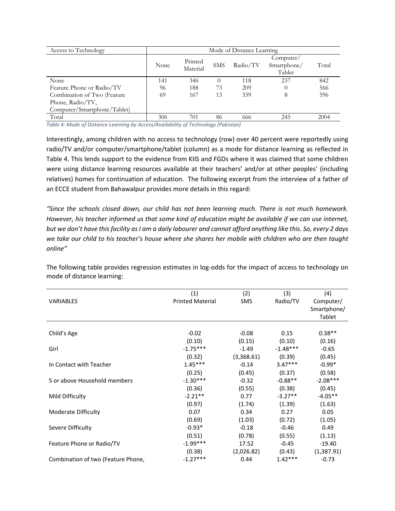| Access to Technology        | Mode of Distance Learning |                     |            |          |                                    |       |  |
|-----------------------------|---------------------------|---------------------|------------|----------|------------------------------------|-------|--|
|                             | None                      | Printed<br>Material | <b>SMS</b> | Radio/TV | Computer/<br>Smartphone/<br>Tablet | Total |  |
| None                        | 141                       | 346                 | $\theta$   | 118      | 237                                | 842   |  |
| Feature Phone or Radio/TV   | 96                        | 188                 | 73         | 209      |                                    | 566   |  |
| Combination of Two (Feature | 69                        | 167                 | 13         | 339      | 8                                  | 596   |  |
| Phone, Radio/TV,            |                           |                     |            |          |                                    |       |  |
| Computer/Smartphone/Tablet) |                           |                     |            |          |                                    |       |  |
| Total                       | 306                       | 701                 | 86         | 666      | 245                                | 2004  |  |

*Table 4: Mode of Distance Learning by Access/Availability of Technology (Pakistan)*

Interestingly, among children with no access to technology (row) over 40 percent were reportedly using radio/TV and/or computer/smartphone/tablet (column) as a mode for distance learning as reflected in Table 4. This lends support to the evidence from KIIS and FGDs where it was claimed that some children were using distance learning resources available at their teachers' and/or at other peoples' (including relatives) homes for continuation of education. The following excerpt from the interview of a father of an ECCE student from Bahawalpur provides more details in this regard:

*"Since the schools closed down, our child has not been learning much. There is not much homework. However, his teacher informed us that some kind of education might be available if we can use internet, but we don't have this facility as I am a daily labourer and cannot afford anything like this. So, every 2 days we take our child to his teacher's house where she shares her mobile with children who are then taught online"* 

|                                    | (1)                     | (2)        | (3)        | (4)         |
|------------------------------------|-------------------------|------------|------------|-------------|
| <b>VARIABLES</b>                   | <b>Printed Material</b> | <b>SMS</b> | Radio/TV   | Computer/   |
|                                    |                         |            |            | Smartphone/ |
|                                    |                         |            |            | Tablet      |
|                                    |                         |            |            |             |
| Child's Age                        | $-0.02$                 | $-0.08$    | 0.15       | $0.38**$    |
|                                    | (0.10)                  | (0.15)     | (0.10)     | (0.16)      |
| Girl                               | $-1.75***$              | $-1.49$    | $-1.48***$ | $-0.65$     |
|                                    | (0.32)                  | (3,368.61) | (0.39)     | (0.45)      |
| In Contact with Teacher            | $1.45***$               | $-0.14$    | $3.47***$  | $-0.99*$    |
|                                    | (0.25)                  | (0.45)     | (0.37)     | (0.58)      |
| 5 or above Household members       | $-1.30***$              | $-0.32$    | $-0.88**$  | $-2.08***$  |
|                                    | (0.36)                  | (0.55)     | (0.38)     | (0.45)      |
| Mild Difficulty                    | $-2.21**$               | 0.77       | $-3.27**$  | $-4.05**$   |
|                                    | (0.97)                  | (1.74)     | (1.39)     | (1.63)      |
| Moderate Difficulty                | 0.07                    | 0.34       | 0.27       | 0.05        |
|                                    | (0.69)                  | (1.03)     | (0.72)     | (1.05)      |
| Severe Difficulty                  | $-0.93*$                | $-0.18$    | $-0.46$    | 0.49        |
|                                    | (0.51)                  | (0.78)     | (0.55)     | (1.13)      |
| Feature Phone or Radio/TV          | $-1.99***$              | 17.52      | $-0.45$    | $-19.40$    |
|                                    | (0.38)                  | (2,026.82) | (0.43)     | (1,387.91)  |
| Combination of two (Feature Phone, | $-1.27***$              | 0.44       | $1.42***$  | $-0.73$     |

The following table provides regression estimates in log-odds for the impact of access to technology on mode of distance learning: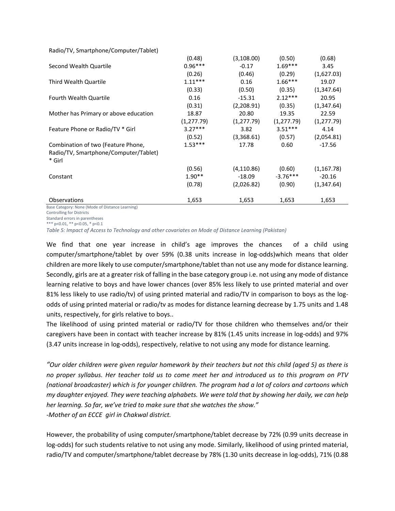| Radio/TV, Smartphone/Computer/Tablet) |             |             |             |             |
|---------------------------------------|-------------|-------------|-------------|-------------|
|                                       | (0.48)      | (3, 108.00) | (0.50)      | (0.68)      |
| Second Wealth Quartile                | $0.96***$   | $-0.17$     | $1.69***$   | 3.45        |
|                                       | (0.26)      | (0.46)      | (0.29)      | (1,627.03)  |
| Third Wealth Quartile                 | $1.11***$   | 0.16        | $1.66***$   | 19.07       |
|                                       | (0.33)      | (0.50)      | (0.35)      | (1,347.64)  |
| <b>Fourth Wealth Quartile</b>         | 0.16        | $-15.31$    | $2.12***$   | 20.95       |
|                                       | (0.31)      | (2,208.91)  | (0.35)      | (1,347.64)  |
| Mother has Primary or above education | 18.87       | 20.80       | 19.35       | 22.59       |
|                                       | (1, 277.79) | (1, 277.79) | (1, 277.79) | (1, 277.79) |
| Feature Phone or Radio/TV * Girl      | $3.27***$   | 3.82        | $3.51***$   | 4.14        |
|                                       | (0.52)      | (3,368.61)  | (0.57)      | (2,054.81)  |
| Combination of two (Feature Phone,    | $1.53***$   | 17.78       | 0.60        | $-17.56$    |
| Radio/TV, Smartphone/Computer/Tablet) |             |             |             |             |
| * Girl                                |             |             |             |             |
|                                       | (0.56)      | (4, 110.86) | (0.60)      | (1, 167.78) |
| Constant                              | $1.90**$    | $-18.09$    | $-3.76***$  | $-20.16$    |
|                                       | (0.78)      | (2,026.82)  | (0.90)      | (1,347.64)  |
| Observations                          | 1,653       | 1,653       | 1,653       | 1,653       |

Ise Category: None (Mode of Distance Learning)

Controlling for Districts

Standard errors in parentheses \*\*\* p<0.01, \*\* p<0.05, \* p<0.1

*Table 5: Impact of Access to Technology and other covariates on Mode of Distance Learning (Pakistan)*

We find that one year increase in child's age improves the chances of a child using computer/smartphone/tablet by over 59% (0.38 units increase in log-odds)which means that older children are more likely to use computer/smartphone/tablet than not use any mode for distance learning. Secondly, girls are at a greater risk of falling in the base category group i.e. not using any mode of distance learning relative to boys and have lower chances (over 85% less likely to use printed material and over 81% less likely to use radio/tv) of using printed material and radio/TV in comparison to boys as the logodds of using printed material or radio/tv as modes for distance learning decrease by 1.75 units and 1.48 units, respectively, for girls relative to boys..

The likelihood of using printed material or radio/TV for those children who themselves and/or their caregivers have been in contact with teacher increase by 81% (1.45 units increase in log-odds) and 97% (3.47 units increase in log-odds), respectively, relative to not using any mode for distance learning.

*"Our older children were given regular homework by their teachers but not this child (aged 5) as there is no proper syllabus. Her teacher told us to come meet her and introduced us to this program on PTV (national broadcaster) which is for younger children. The program had a lot of colors and cartoons which my daughter enjoyed. They were teaching alphabets. We were told that by showing her daily, we can help her learning. So far, we've tried to make sure that she watches the show." -Mother of an ECCE girl in Chakwal district.* 

However, the probability of using computer/smartphone/tablet decrease by 72% (0.99 units decrease in log-odds) for such students relative to not using any mode. Similarly, likelihood of using printed material, radio/TV and computer/smartphone/tablet decrease by 78% (1.30 units decrease in log-odds), 71% (0.88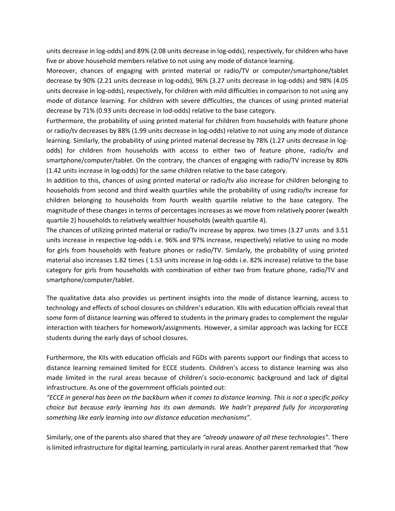units decrease in log-odds) and 89% (2.08 units decrease in log-odds), respectively, for children who have five or above household members relative to not using any mode of distance learning.

Moreover, chances of engaging with printed material or radio/TV or computer/smartphone/tablet decrease by 90% (2.21 units decrease in log-odds), 96% (3.27 units decrease in log-odds) and 98% (4.05 units decrease in log-odds), respectively, for children with mild difficulties in comparison to not using any mode of distance learning. For children with severe difficulties, the chances of using printed material decrease by 71% (0.93 units decrease in lod-odds) relative to the base category.

Furthermore, the probability of using printed material for children from households with feature phone or radio/tv decreases by 88% (1.99 units decrease in log-odds) relative to not using any mode of distance learning. Similarly, the probability of using printed material decrease by 78% (1.27 units decrease in logodds) for children from households with access to either two of feature phone, radio/tv and smartphone/computer/tablet. On the contrary, the chances of engaging with radio/TV increase by 80% (1.42 units increase in log-odds) for the same children relative to the base category.

In addition to this, chances of using printed material or radio/tv also increase for children belonging to households from second and third wealth quartiles while the probability of using radio/tv increase for children belonging to households from fourth wealth quartile relative to the base category. The magnitude of these changes in terms of percentages increases as we move from relatively poorer (wealth quartile 2) households to relatively wealthier households (wealth quartile 4).

The chances of utilizing printed material or radio/Tv increase by approx. two times (3.27 units and 3.51 units increase in respective log-odds i.e. 96% and 97% increase, respectively) relative to using no mode for girls from households with feature phones or radio/TV. Similarly, the probability of using printed material also increases 1.82 times ( 1.53 units increase in log-odds i.e. 82% increase) relative to the base category for girls from households with combination of either two from feature phone, radio/TV and smartphone/computer/tablet.

The qualitative data also provides us pertinent insights into the mode of distance learning, access to technology and effects of school closures on children's education. KIIs with education officials reveal that some form of distance learning was offered to students in the primary grades to complement the regular interaction with teachers for homework/assignments. However, a similar approach was lacking for ECCE students during the early days of school closures.

Furthermore, the KIIs with education officials and FGDs with parents support our findings that access to distance learning remained limited for ECCE students. Children's access to distance learning was also made limited in the rural areas because of children's socio-economic background and lack of digital infrastructure. As one of the government officials pointed out:

*"ECCE in general has been on the backburn when it comes to distance learning. This is not a specific policy choice but because early learning has its own demands. We hadn't prepared fully for incorporating something like early learning into our distance education mechanisms"*.

Similarly, one of the parents also shared that they are *"already unaware of all these technologies"*. There is limited infrastructure for digital learning, particularly in rural areas. Another parent remarked that *"how*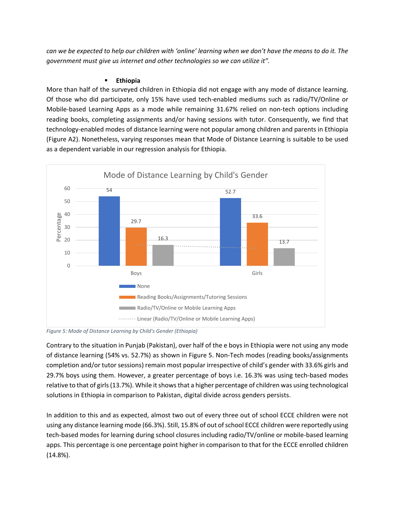*can we be expected to help our children with 'online' learning when we don't have the means to do it. The government must give us internet and other technologies so we can utilize it".*

#### **Ethiopia**

More than half of the surveyed children in Ethiopia did not engage with any mode of distance learning. Of those who did participate, only 15% have used tech-enabled mediums such as radio/TV/Online or Mobile-based Learning Apps as a mode while remaining 31.67% relied on non-tech options including reading books, completing assignments and/or having sessions with tutor. Consequently, we find that technology-enabled modes of distance learning were not popular among children and parents in Ethiopia (Figure A2). Nonetheless, varying responses mean that Mode of Distance Learning is suitable to be used as a dependent variable in our regression analysis for Ethiopia.



*Figure 5: Mode of Distance Learning by Child's Gender (Ethiopia)*

Contrary to the situation in Punjab (Pakistan), over half of the e boys in Ethiopia were not using any mode of distance learning (54% vs. 52.7%) as shown in Figure 5. Non-Tech modes (reading books/assignments completion and/or tutor sessions) remain most popular irrespective of child's gender with 33.6% girls and 29.7% boys using them. However, a greater percentage of boys i.e. 16.3% was using tech-based modes relative to that of girls (13.7%). While it shows that a higher percentage of children was using technological solutions in Ethiopia in comparison to Pakistan, digital divide across genders persists.

In addition to this and as expected, almost two out of every three out of school ECCE children were not using any distance learning mode (66.3%). Still, 15.8% of out of school ECCE children were reportedly using tech-based modes for learning during school closures including radio/TV/online or mobile-based learning apps. This percentage is one percentage point higher in comparison to that for the ECCE enrolled children (14.8%).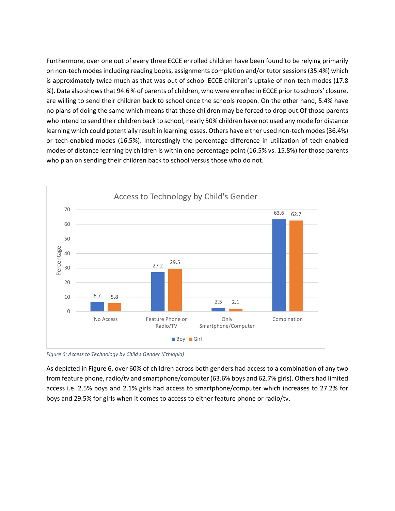Furthermore, over one out of every three ECCE enrolled children have been found to be relying primarily on non-tech modes including reading books, assignments completion and/or tutor sessions (35.4%) which is approximately twice much as that was out of school ECCE children's uptake of non-tech modes (17.8 %). Data also showsthat 94.6 % of parents of children, who were enrolled in ECCE prior to schools' closure, are willing to send their children back to school once the schools reopen. On the other hand, 5.4% have no plans of doing the same which means that these children may be forced to drop out.Of those parents who intend to send their children back to school, nearly 50% children have not used any mode for distance learning which could potentially result in learning losses. Others have either used non-tech modes (36.4%) or tech-enabled modes (16.5%). Interestingly the percentage difference in utilization of tech-enabled modes of distance learning by children is within one percentage point (16.5% vs. 15.8%) for those parents who plan on sending their children back to school versus those who do not.



*Figure 6: Access to Technology by Child's Gender (Ethiopia)*

As depicted in Figure 6, over 60% of children across both genders had access to a combination of any two from feature phone, radio/tv and smartphone/computer (63.6% boys and 62.7% girls). Others had limited access i.e. 2.5% boys and 2.1% girls had access to smartphone/computer which increases to 27.2% for boys and 29.5% for girls when it comes to access to either feature phone or radio/tv.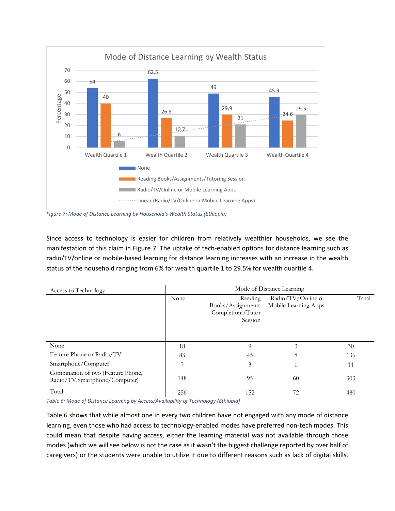

*Figure 7: Mode of Distance Learning by Household's Wealth Status (Ethiopia)*

Since access to technology is easier for children from relatively wealthier households, we see the manifestation of this claim in Figure 7. The uptake of tech-enabled options for distance learning such as radio/TV/online or mobile-based learning for distance learning increases with an increase in the wealth status of the household ranging from 6% for wealth quartile 1 to 29.5% for wealth quartile 4.

| Access to Technology                                                |      | Mode of Distance Learning                                    |                                            |       |  |  |  |  |
|---------------------------------------------------------------------|------|--------------------------------------------------------------|--------------------------------------------|-------|--|--|--|--|
|                                                                     | None | Reading<br>Books/Assignments<br>Completion /Tutor<br>Session | Radio/TV/Online or<br>Mobile Learning Apps | Total |  |  |  |  |
| None                                                                | 18   | 9                                                            | 3                                          | 30    |  |  |  |  |
| Feature Phone or Radio/TV                                           | 83   | 45                                                           | 8                                          | 136   |  |  |  |  |
| Smartphone/Computer                                                 | ⇁    | 3                                                            |                                            | 11    |  |  |  |  |
| Combination of two (Feature Phone,<br>Radio/TV,Smartphone/Computer) | 148  | 95                                                           | 60                                         | 303   |  |  |  |  |
| Total                                                               | 256  | 152                                                          | 72                                         | 480   |  |  |  |  |

*Table 6: Mode of Distance Learning by Access/Availability of Technology (Ethiopia)*

Table 6 shows that while almost one in every two children have not engaged with any mode of distance learning, even those who had access to technology-enabled modes have preferred non-tech modes. This could mean that despite having access, either the learning material was not available through those modes (which we will see below is not the case as it wasn't the biggest challenge reported by over half of caregivers) or the students were unable to utilize it due to different reasons such as lack of digital skills.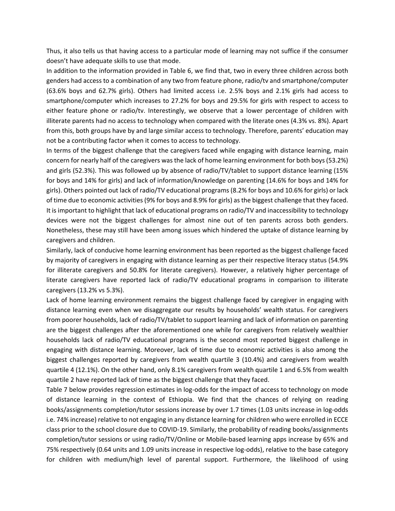Thus, it also tells us that having access to a particular mode of learning may not suffice if the consumer doesn't have adequate skills to use that mode.

In addition to the information provided in Table 6, we find that, two in every three children across both genders had access to a combination of any two from feature phone, radio/tv and smartphone/computer (63.6% boys and 62.7% girls). Others had limited access i.e. 2.5% boys and 2.1% girls had access to smartphone/computer which increases to 27.2% for boys and 29.5% for girls with respect to access to either feature phone or radio/tv. Interestingly, we observe that a lower percentage of children with illiterate parents had no access to technology when compared with the literate ones (4.3% vs. 8%). Apart from this, both groups have by and large similar access to technology. Therefore, parents' education may not be a contributing factor when it comes to access to technology.

In terms of the biggest challenge that the caregivers faced while engaging with distance learning, main concern for nearly half of the caregivers was the lack of home learning environment for both boys (53.2%) and girls (52.3%). This was followed up by absence of radio/TV/tablet to support distance learning (15% for boys and 14% for girls) and lack of information/knowledge on parenting (14.6% for boys and 14% for girls). Others pointed out lack of radio/TV educational programs (8.2% for boys and 10.6% for girls) or lack of time due to economic activities (9% for boys and 8.9% for girls) as the biggest challenge that they faced. It is important to highlight that lack of educational programs on radio/TV and inaccessibility to technology devices were not the biggest challenges for almost nine out of ten parents across both genders. Nonetheless, these may still have been among issues which hindered the uptake of distance learning by caregivers and children.

Similarly, lack of conducive home learning environment has been reported as the biggest challenge faced by majority of caregivers in engaging with distance learning as per their respective literacy status (54.9% for illiterate caregivers and 50.8% for literate caregivers). However, a relatively higher percentage of literate caregivers have reported lack of radio/TV educational programs in comparison to illiterate caregivers (13.2% vs 5.3%).

Lack of home learning environment remains the biggest challenge faced by caregiver in engaging with distance learning even when we disaggregate our results by households' wealth status. For caregivers from poorer households, lack of radio/TV/tablet to support learning and lack of information on parenting are the biggest challenges after the aforementioned one while for caregivers from relatively wealthier households lack of radio/TV educational programs is the second most reported biggest challenge in engaging with distance learning. Moreover, lack of time due to economic activities is also among the biggest challenges reported by caregivers from wealth quartile 3 (10.4%) and caregivers from wealth quartile 4 (12.1%). On the other hand, only 8.1% caregivers from wealth quartile 1 and 6.5% from wealth quartile 2 have reported lack of time as the biggest challenge that they faced.

Table 7 below provides regression estimates in log-odds for the impact of access to technology on mode of distance learning in the context of Ethiopia. We find that the chances of relying on reading books/assignments completion/tutor sessions increase by over 1.7 times (1.03 units increase in log-odds i.e. 74% increase) relative to not engaging in any distance learning for children who were enrolled in ECCE class prior to the school closure due to COVID-19. Similarly, the probability of reading books/assignments completion/tutor sessions or using radio/TV/Online or Mobile-based learning apps increase by 65% and 75% respectively (0.64 units and 1.09 units increase in respective log-odds), relative to the base category for children with medium/high level of parental support. Furthermore, the likelihood of using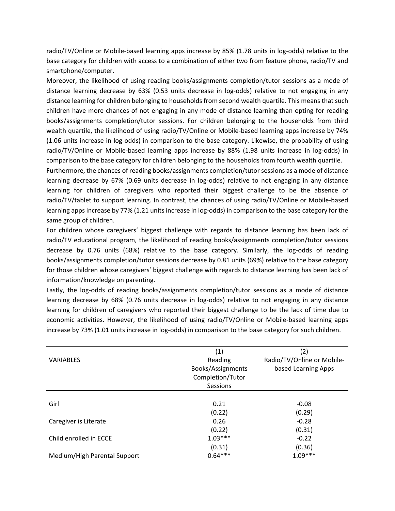radio/TV/Online or Mobile-based learning apps increase by 85% (1.78 units in log-odds) relative to the base category for children with access to a combination of either two from feature phone, radio/TV and smartphone/computer.

Moreover, the likelihood of using reading books/assignments completion/tutor sessions as a mode of distance learning decrease by 63% (0.53 units decrease in log-odds) relative to not engaging in any distance learning for children belonging to households from second wealth quartile. This means that such children have more chances of not engaging in any mode of distance learning than opting for reading books/assignments completion/tutor sessions. For children belonging to the households from third wealth quartile, the likelihood of using radio/TV/Online or Mobile-based learning apps increase by 74% (1.06 units increase in log-odds) in comparison to the base category. Likewise, the probability of using radio/TV/Online or Mobile-based learning apps increase by 88% (1.98 units increase in log-odds) in comparison to the base category for children belonging to the households from fourth wealth quartile.

Furthermore, the chances of reading books/assignments completion/tutor sessions as a mode of distance learning decrease by 67% (0.69 units decrease in log-odds) relative to not engaging in any distance learning for children of caregivers who reported their biggest challenge to be the absence of radio/TV/tablet to support learning. In contrast, the chances of using radio/TV/Online or Mobile-based learning apps increase by 77% (1.21 units increase in log-odds) in comparison to the base category for the same group of children.

For children whose caregivers' biggest challenge with regards to distance learning has been lack of radio/TV educational program, the likelihood of reading books/assignments completion/tutor sessions decrease by 0.76 units (68%) relative to the base category. Similarly, the log-odds of reading books/assignments completion/tutor sessions decrease by 0.81 units (69%) relative to the base category for those children whose caregivers' biggest challenge with regards to distance learning has been lack of information/knowledge on parenting.

Lastly, the log-odds of reading books/assignments completion/tutor sessions as a mode of distance learning decrease by 68% (0.76 units decrease in log-odds) relative to not engaging in any distance learning for children of caregivers who reported their biggest challenge to be the lack of time due to economic activities. However, the likelihood of using radio/TV/Online or Mobile-based learning apps increase by 73% (1.01 units increase in log-odds) in comparison to the base category for such children.

| (1)               |                            |
|-------------------|----------------------------|
|                   | (2)                        |
| Reading           | Radio/TV/Online or Mobile- |
| Books/Assignments | based Learning Apps        |
| Completion/Tutor  |                            |
| Sessions          |                            |
|                   |                            |
| 0.21              | $-0.08$                    |
| (0.22)            | (0.29)                     |
| 0.26              | $-0.28$                    |
| (0.22)            | (0.31)                     |
| $1.03***$         | $-0.22$                    |
| (0.31)            | (0.36)                     |
| $0.64***$         | $1.09***$                  |
|                   |                            |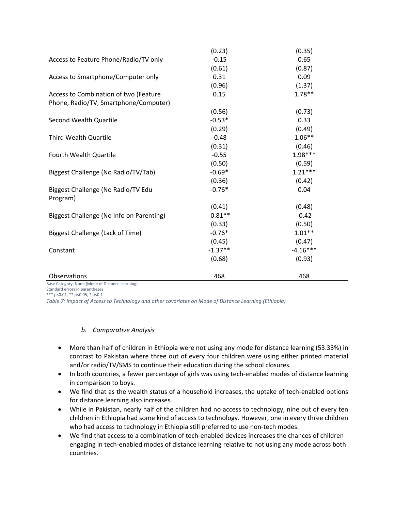|                                                | (0.23)    | (0.35)     |
|------------------------------------------------|-----------|------------|
| Access to Feature Phone/Radio/TV only          | $-0.15$   | 0.65       |
|                                                | (0.61)    | (0.87)     |
| Access to Smartphone/Computer only             | 0.31      | 0.09       |
|                                                | (0.96)    | (1.37)     |
| Access to Combination of two (Feature          | 0.15      | $1.78**$   |
| Phone, Radio/TV, Smartphone/Computer)          |           |            |
|                                                | (0.56)    | (0.73)     |
| Second Wealth Quartile                         | $-0.53*$  | 0.33       |
|                                                | (0.29)    | (0.49)     |
| Third Wealth Quartile                          | $-0.48$   | $1.06**$   |
|                                                | (0.31)    | (0.46)     |
| Fourth Wealth Quartile                         | $-0.55$   | 1.98***    |
|                                                | (0.50)    | (0.59)     |
| Biggest Challenge (No Radio/TV/Tab)            | $-0.69*$  | $1.21***$  |
|                                                | (0.36)    | (0.42)     |
| Biggest Challenge (No Radio/TV Edu<br>Program) | $-0.76*$  | 0.04       |
|                                                | (0.41)    | (0.48)     |
| Biggest Challenge (No Info on Parenting)       | $-0.81**$ | $-0.42$    |
|                                                | (0.33)    | (0.50)     |
| Biggest Challenge (Lack of Time)               | $-0.76*$  | $1.01**$   |
|                                                | (0.45)    | (0.47)     |
| Constant                                       | $-1.37**$ | $-4.16***$ |
|                                                | (0.68)    | (0.93)     |
| Observations                                   | 468       | 468        |

Base Category: None (Mode of Distance Learning)

Standard errors in parentheses

\*\*\* p<0.01, \*\* p<0.05, \* p<0.1

*Table 7: Impact of Access to Technology and other covariates on Mode of Distance Learning (Ethiopia)*

#### *b. Comparative Analysis*

- More than half of children in Ethiopia were not using any mode for distance learning (53.33%) in contrast to Pakistan where three out of every four children were using either printed material and/or radio/TV/SMS to continue their education during the school closures.
- In both countries, a fewer percentage of girls was using tech-enabled modes of distance learning in comparison to boys.
- We find that as the wealth status of a household increases, the uptake of tech-enabled options for distance learning also increases.
- While in Pakistan, nearly half of the children had no access to technology, nine out of every ten children in Ethiopia had some kind of access to technology. However, one in every three children who had access to technology in Ethiopia still preferred to use non-tech modes.
- We find that access to a combination of tech-enabled devices increases the chances of children engaging in tech-enabled modes of distance learning relative to not using any mode across both countries.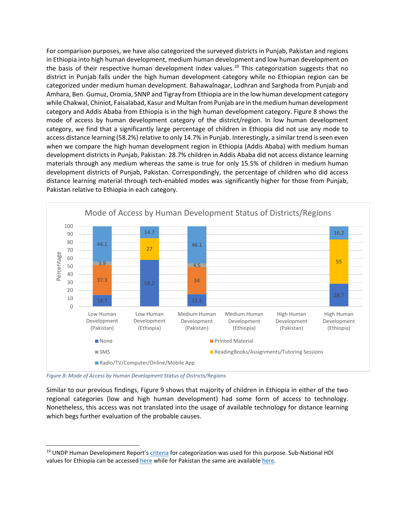For comparison purposes, we have also categorized the surveyed districts in Punjab, Pakistan and regions in Ethiopia into high human development, medium human development and low human development on the basis of their respective human development index values. [19](#page-32-0) This categorization suggests that no district in Punjab falls under the high human development category while no Ethiopian region can be categorized under medium human development. Bahawalnagar, Lodhran and Sarghoda from Punjab and Amhara, Ben. Gumuz, Oromia, SNNP and Tigray from Ethiopia are in the low human development category while Chakwal, Chiniot, Faisalabad, Kasur and Multan from Punjab are in the medium human development category and Addis Ababa from Ethiopia is in the high human development category. Figure 8 shows the mode of access by human development category of the district/region. In low human development category, we find that a significantly large percentage of children in Ethiopia did not use any mode to access distance learning (58.2%) relative to only 14.7% in Punjab. Interestingly, a similar trend is seen even when we compare the high human development region in Ethiopia (Addis Ababa) with medium human development districts in Punjab, Pakistan: 28.7% children in Addis Ababa did not access distance learning materials through any medium whereas the same is true for only 15.5% of children in medium human development districts of Punjab, Pakistan. Correspondingly, the percentage of children who did access distance learning material through tech-enabled modes was significantly higher for those from Punjab, Pakistan relative to Ethiopia in each category.



*Figure 8: Mode of Access by Human Development Status of Districts/Regions*

Similar to our previous findings, Figure 9 shows that majority of children in Ethiopia in either of the two regional categories (low and high human development) had some form of access to technology. Nonetheless, this access was not translated into the usage of available technology for distance learning which begs further evaluation of the probable causes.

<span id="page-32-0"></span><sup>&</sup>lt;sup>19</sup> UNDP Human Development Report's [criteria](http://hdr.undp.org/sites/default/files/hdr2020_technical_notes.pdf) for categorization was used for this purpose. Sub-National HDI values for Ethiopia can be accesse[d here](https://globaldatalab.org/shdi/shdi/ETH/?levels=1%2B4&interpolation=1&extrapolation=0&nearest_real=0) while for Pakistan the same are availabl[e here.](https://mpra.ub.uni-muenchen.de/89064/1/MPRA_paper_89064.pdf)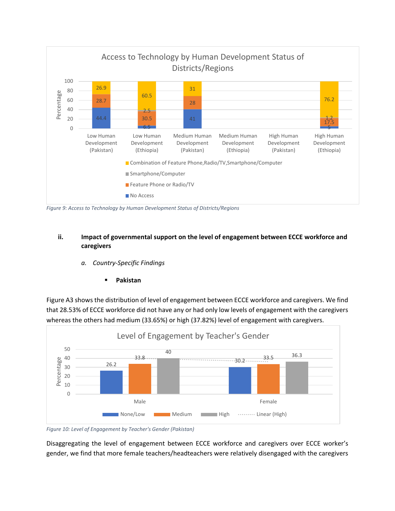

*Figure 9: Access to Technology by Human Development Status of Districts/Regions*

#### **ii. Impact of governmental support on the level of engagement between ECCE workforce and caregivers**

- *a. Country-Specific Findings*
	- **Pakistan**

Figure A3 shows the distribution of level of engagement between ECCE workforce and caregivers. We find that 28.53% of ECCE workforce did not have any or had only low levels of engagement with the caregivers whereas the others had medium (33.65%) or high (37.82%) level of engagement with caregivers.



*Figure 10: Level of Engagement by Teacher's Gender (Pakistan)*

Disaggregating the level of engagement between ECCE workforce and caregivers over ECCE worker's gender, we find that more female teachers/headteachers were relatively disengaged with the caregivers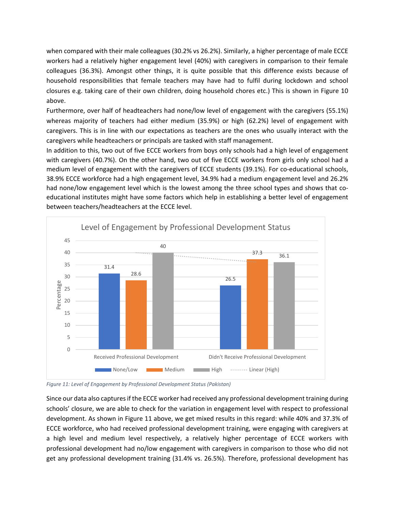when compared with their male colleagues (30.2% vs 26.2%). Similarly, a higher percentage of male ECCE workers had a relatively higher engagement level (40%) with caregivers in comparison to their female colleagues (36.3%). Amongst other things, it is quite possible that this difference exists because of household responsibilities that female teachers may have had to fulfil during lockdown and school closures e.g. taking care of their own children, doing household chores etc.) This is shown in Figure 10 above.

Furthermore, over half of headteachers had none/low level of engagement with the caregivers (55.1%) whereas majority of teachers had either medium (35.9%) or high (62.2%) level of engagement with caregivers. This is in line with our expectations as teachers are the ones who usually interact with the caregivers while headteachers or principals are tasked with staff management.

In addition to this, two out of five ECCE workers from boys only schools had a high level of engagement with caregivers (40.7%). On the other hand, two out of five ECCE workers from girls only school had a medium level of engagement with the caregivers of ECCE students (39.1%). For co-educational schools, 38.9% ECCE workforce had a high engagement level, 34.9% had a medium engagement level and 26.2% had none/low engagement level which is the lowest among the three school types and shows that coeducational institutes might have some factors which help in establishing a better level of engagement between teachers/headteachers at the ECCE level.





Since our data also captures if the ECCE worker had received any professional development training during schools' closure, we are able to check for the variation in engagement level with respect to professional development. As shown in Figure 11 above, we get mixed results in this regard: while 40% and 37.3% of ECCE workforce, who had received professional development training, were engaging with caregivers at a high level and medium level respectively, a relatively higher percentage of ECCE workers with professional development had no/low engagement with caregivers in comparison to those who did not get any professional development training (31.4% vs. 26.5%). Therefore, professional development has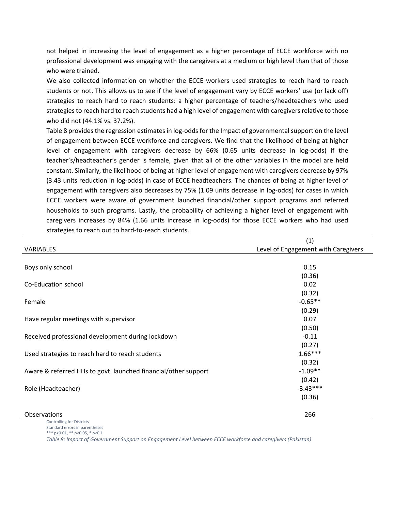not helped in increasing the level of engagement as a higher percentage of ECCE workforce with no professional development was engaging with the caregivers at a medium or high level than that of those who were trained.

We also collected information on whether the ECCE workers used strategies to reach hard to reach students or not. This allows us to see if the level of engagement vary by ECCE workers' use (or lack off) strategies to reach hard to reach students: a higher percentage of teachers/headteachers who used strategies to reach hard to reach students had a high level of engagement with caregivers relative to those who did not (44.1% vs. 37.2%).

Table 8 provides the regression estimates in log-odds for the Impact of governmental support on the level of engagement between ECCE workforce and caregivers. We find that the likelihood of being at higher level of engagement with caregivers decrease by 66% (0.65 units decrease in log-odds) if the teacher's/headteacher's gender is female, given that all of the other variables in the model are held constant. Similarly, the likelihood of being at higher level of engagement with caregivers decrease by 97% (3.43 units reduction in log-odds) in case of ECCE headteachers. The chances of being at higher level of engagement with caregivers also decreases by 75% (1.09 units decrease in log-odds) for cases in which ECCE workers were aware of government launched financial/other support programs and referred households to such programs. Lastly, the probability of achieving a higher level of engagement with caregivers increases by 84% (1.66 units increase in log-odds) for those ECCE workers who had used strategies to reach out to hard-to-reach students.

|                                                                | (1)                                 |
|----------------------------------------------------------------|-------------------------------------|
| <b>VARIABLES</b>                                               | Level of Engagement with Caregivers |
|                                                                |                                     |
| Boys only school                                               | 0.15                                |
|                                                                | (0.36)                              |
| Co-Education school                                            | 0.02                                |
|                                                                | (0.32)                              |
| Female                                                         | $-0.65**$                           |
|                                                                | (0.29)                              |
| Have regular meetings with supervisor                          | 0.07                                |
|                                                                | (0.50)                              |
| Received professional development during lockdown              | $-0.11$                             |
|                                                                | (0.27)                              |
| Used strategies to reach hard to reach students                | $1.66***$                           |
|                                                                | (0.32)                              |
| Aware & referred HHs to govt. launched financial/other support | $-1.09**$                           |
|                                                                | (0.42)                              |
| Role (Headteacher)                                             | $-3.43***$                          |
|                                                                | (0.36)                              |
|                                                                |                                     |
| Observations                                                   | 266                                 |

Controlling for Districts

Standard errors in parentheses \*\*\* p<0.01, \*\* p<0.05, \* p<0.1

*Table 8: Impact of Government Support on Engagement Level between ECCE workforce and caregivers (Pakistan)*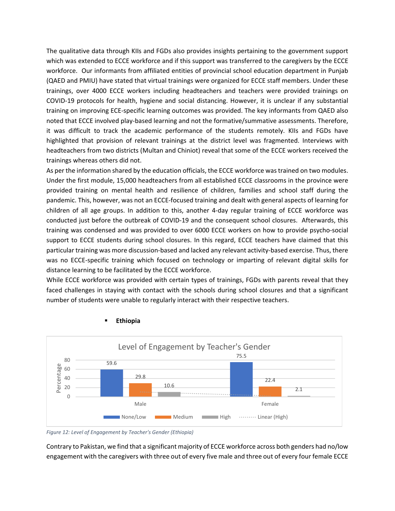The qualitative data through KIIs and FGDs also provides insights pertaining to the government support which was extended to ECCE workforce and if this support was transferred to the caregivers by the ECCE workforce. Our informants from affiliated entities of provincial school education department in Punjab (QAED and PMIU) have stated that virtual trainings were organized for ECCE staff members. Under these trainings, over 4000 ECCE workers including headteachers and teachers were provided trainings on COVID-19 protocols for health, hygiene and social distancing. However, it is unclear if any substantial training on improving ECE-specific learning outcomes was provided. The key informants from QAED also noted that ECCE involved play-based learning and not the formative/summative assessments. Therefore, it was difficult to track the academic performance of the students remotely. KIIs and FGDs have highlighted that provision of relevant trainings at the district level was fragmented. Interviews with headteachers from two districts (Multan and Chiniot) reveal that some of the ECCE workers received the trainings whereas others did not.

As per the information shared by the education officials, the ECCE workforce was trained on two modules. Under the first module, 15,000 headteachers from all established ECCE classrooms in the province were provided training on mental health and resilience of children, families and school staff during the pandemic. This, however, was not an ECCE-focused training and dealt with general aspects of learning for children of all age groups. In addition to this, another 4-day regular training of ECCE workforce was conducted just before the outbreak of COVID-19 and the consequent school closures. Afterwards, this training was condensed and was provided to over 6000 ECCE workers on how to provide psycho-social support to ECCE students during school closures. In this regard, ECCE teachers have claimed that this particular training was more discussion-based and lacked any relevant activity-based exercise. Thus, there was no ECCE-specific training which focused on technology or imparting of relevant digital skills for distance learning to be facilitated by the ECCE workforce.

While ECCE workforce was provided with certain types of trainings, FGDs with parents reveal that they faced challenges in staying with contact with the schools during school closures and that a significant number of students were unable to regularly interact with their respective teachers.



#### **Ethiopia**

*Figure 12: Level of Engagement by Teacher's Gender (Ethiopia)*

Contrary to Pakistan, we find that a significant majority of ECCE workforce across both genders had no/low engagement with the caregivers with three out of every five male and three out of every four female ECCE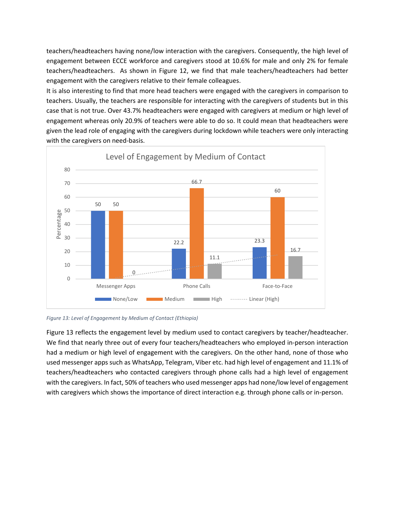teachers/headteachers having none/low interaction with the caregivers. Consequently, the high level of engagement between ECCE workforce and caregivers stood at 10.6% for male and only 2% for female teachers/headteachers. As shown in Figure 12, we find that male teachers/headteachers had better engagement with the caregivers relative to their female colleagues.

It is also interesting to find that more head teachers were engaged with the caregivers in comparison to teachers. Usually, the teachers are responsible for interacting with the caregivers of students but in this case that is not true. Over 43.7% headteachers were engaged with caregivers at medium or high level of engagement whereas only 20.9% of teachers were able to do so. It could mean that headteachers were given the lead role of engaging with the caregivers during lockdown while teachers were only interacting with the caregivers on need-basis.



*Figure 13: Level of Engagement by Medium of Contact (Ethiopia)*

Figure 13 reflects the engagement level by medium used to contact caregivers by teacher/headteacher. We find that nearly three out of every four teachers/headteachers who employed in-person interaction had a medium or high level of engagement with the caregivers. On the other hand, none of those who used messenger apps such as WhatsApp, Telegram, Viber etc. had high level of engagement and 11.1% of teachers/headteachers who contacted caregivers through phone calls had a high level of engagement with the caregivers. In fact, 50% of teachers who used messenger apps had none/low level of engagement with caregivers which shows the importance of direct interaction e.g. through phone calls or in-person.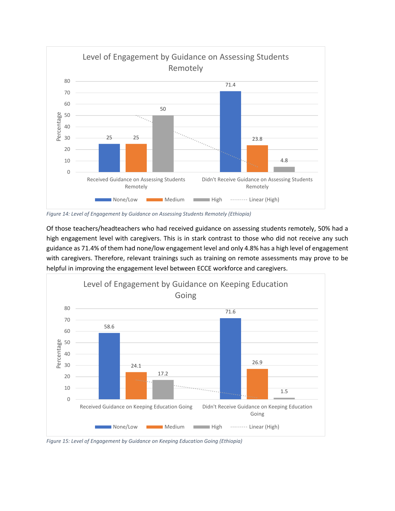

*Figure 14: Level of Engagement by Guidance on Assessing Students Remotely (Ethiopia)*

Of those teachers/headteachers who had received guidance on assessing students remotely, 50% had a high engagement level with caregivers. This is in stark contrast to those who did not receive any such guidance as 71.4% of them had none/low engagement level and only 4.8% has a high level of engagement with caregivers. Therefore, relevant trainings such as training on remote assessments may prove to be helpful in improving the engagement level between ECCE workforce and caregivers.



*Figure 15: Level of Engagement by Guidance on Keeping Education Going (Ethiopia)*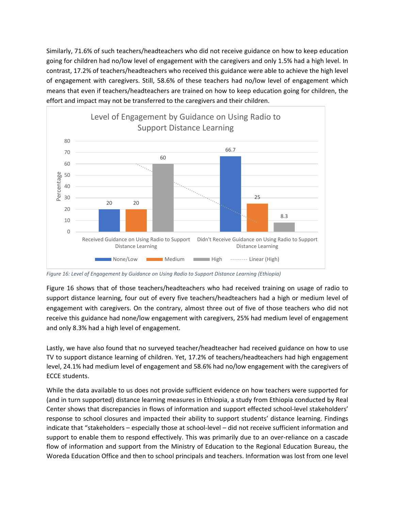Similarly, 71.6% of such teachers/headteachers who did not receive guidance on how to keep education going for children had no/low level of engagement with the caregivers and only 1.5% had a high level. In contrast, 17.2% of teachers/headteachers who received this guidance were able to achieve the high level of engagement with caregivers. Still, 58.6% of these teachers had no/low level of engagement which means that even if teachers/headteachers are trained on how to keep education going for children, the effort and impact may not be transferred to the caregivers and their children.



*Figure 16: Level of Engagement by Guidance on Using Radio to Support Distance Learning (Ethiopia)*

Figure 16 shows that of those teachers/headteachers who had received training on usage of radio to support distance learning, four out of every five teachers/headteachers had a high or medium level of engagement with caregivers. On the contrary, almost three out of five of those teachers who did not receive this guidance had none/low engagement with caregivers, 25% had medium level of engagement and only 8.3% had a high level of engagement.

Lastly, we have also found that no surveyed teacher/headteacher had received guidance on how to use TV to support distance learning of children. Yet, 17.2% of teachers/headteachers had high engagement level, 24.1% had medium level of engagement and 58.6% had no/low engagement with the caregivers of ECCE students.

While the data available to us does not provide sufficient evidence on how teachers were supported for (and in turn supported) distance learning measures in Ethiopia, a study from Ethiopia conducted by Real Center shows that discrepancies in flows of information and support effected school-level stakeholders' response to school closures and impacted their ability to support students' distance learning. Findings indicate that "stakeholders – especially those at school-level – did not receive sufficient information and support to enable them to respond effectively. This was primarily due to an over-reliance on a cascade flow of information and support from the Ministry of Education to the Regional Education Bureau, the Woreda Education Office and then to school principals and teachers. Information was lost from one level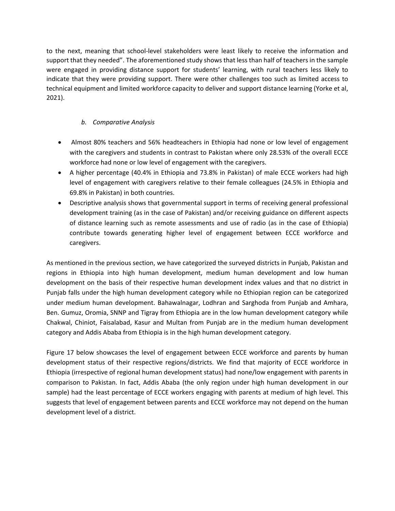to the next, meaning that school-level stakeholders were least likely to receive the information and support that they needed". The aforementioned study shows that less than half of teachers in the sample were engaged in providing distance support for students' learning, with rural teachers less likely to indicate that they were providing support. There were other challenges too such as limited access to technical equipment and limited workforce capacity to deliver and support distance learning (Yorke et al, 2021).

### *b. Comparative Analysis*

- Almost 80% teachers and 56% headteachers in Ethiopia had none or low level of engagement with the caregivers and students in contrast to Pakistan where only 28.53% of the overall ECCE workforce had none or low level of engagement with the caregivers.
- A higher percentage (40.4% in Ethiopia and 73.8% in Pakistan) of male ECCE workers had high level of engagement with caregivers relative to their female colleagues (24.5% in Ethiopia and 69.8% in Pakistan) in both countries.
- Descriptive analysis shows that governmental support in terms of receiving general professional development training (as in the case of Pakistan) and/or receiving guidance on different aspects of distance learning such as remote assessments and use of radio (as in the case of Ethiopia) contribute towards generating higher level of engagement between ECCE workforce and caregivers.

As mentioned in the previous section, we have categorized the surveyed districts in Punjab, Pakistan and regions in Ethiopia into high human development, medium human development and low human development on the basis of their respective human development index values and that no district in Punjab falls under the high human development category while no Ethiopian region can be categorized under medium human development. Bahawalnagar, Lodhran and Sarghoda from Punjab and Amhara, Ben. Gumuz, Oromia, SNNP and Tigray from Ethiopia are in the low human development category while Chakwal, Chiniot, Faisalabad, Kasur and Multan from Punjab are in the medium human development category and Addis Ababa from Ethiopia is in the high human development category.

Figure 17 below showcases the level of engagement between ECCE workforce and parents by human development status of their respective regions/districts. We find that majority of ECCE workforce in Ethiopia (irrespective of regional human development status) had none/low engagement with parents in comparison to Pakistan. In fact, Addis Ababa (the only region under high human development in our sample) had the least percentage of ECCE workers engaging with parents at medium of high level. This suggests that level of engagement between parents and ECCE workforce may not depend on the human development level of a district.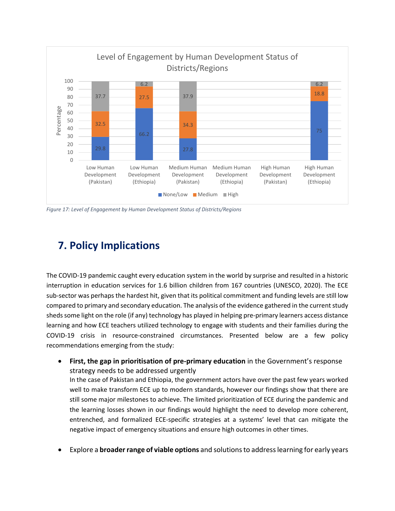

*Figure 17: Level of Engagement by Human Development Status of Districts/Regions*

# **7. Policy Implications**

The COVID-19 pandemic caught every education system in the world by surprise and resulted in a historic interruption in education services for 1.6 billion children from 167 countries (UNESCO, 2020). The ECE sub-sector was perhaps the hardest hit, given that its political commitment and funding levels are still low compared to primary and secondary education. The analysis of the evidence gathered in the current study sheds some light on the role (if any) technology has played in helping pre-primary learners access distance learning and how ECE teachers utilized technology to engage with students and their families during the COVID-19 crisis in resource-constrained circumstances. Presented below are a few policy recommendations emerging from the study:

- **First, the gap in prioritisation of pre-primary education** in the Government's response strategy needs to be addressed urgently In the case of Pakistan and Ethiopia, the government actors have over the past few years worked well to make transform ECE up to modern standards, however our findings show that there are still some major milestones to achieve. The limited prioritization of ECE during the pandemic and the learning losses shown in our findings would highlight the need to develop more coherent, entrenched, and formalized ECE-specific strategies at a systems' level that can mitigate the negative impact of emergency situations and ensure high outcomes in other times.
- Explore a **broader range of viable options** and solutions to address learning for early years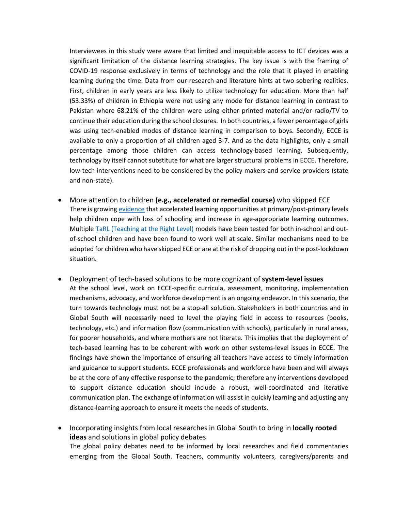Interviewees in this study were aware that limited and inequitable access to ICT devices was a significant limitation of the distance learning strategies. The key issue is with the framing of COVID-19 response exclusively in terms of technology and the role that it played in enabling learning during the time. Data from our research and literature hints at two sobering realities. First, children in early years are less likely to utilize technology for education. More than half (53.33%) of children in Ethiopia were not using any mode for distance learning in contrast to Pakistan where 68.21% of the children were using either printed material and/or radio/TV to continue their education during the school closures. In both countries, a fewer percentage of girls was using tech-enabled modes of distance learning in comparison to boys. Secondly, ECCE is available to only a proportion of all children aged 3-7. And as the data highlights, only a small percentage among those children can access technology-based learning. Subsequently, technology by itself cannot substitute for what are larger structural problems in ECCE. Therefore, low-tech interventions need to be considered by the policy makers and service providers (state and non-state).

- More attention to children **(e.g., accelerated or remedial course)** who skipped ECE There is growing [evidence](https://www.teachingattherightlevel.org/research-and-learning/evidence/) that accelerated learning opportunities at primary/post-primary levels help children cope with loss of schooling and increase in age-appropriate learning outcomes. Multiple [TaRL \(Teaching at the Right Level\)](https://www.teachingattherightlevel.org/the-tarl-approach/) models have been tested for both in-school and outof-school children and have been found to work well at scale. Similar mechanisms need to be adopted for children who have skipped ECE or are at the risk of dropping out in the post-lockdown situation.
- Deployment of tech-based solutions to be more cognizant of **system-level issues** At the school level, work on ECCE-specific curricula, assessment, monitoring, implementation mechanisms, advocacy, and workforce development is an ongoing endeavor. In this scenario, the turn towards technology must not be a stop-all solution. Stakeholders in both countries and in Global South will necessarily need to level the playing field in access to resources (books, technology, etc.) and information flow (communication with schools), particularly in rural areas, for poorer households, and where mothers are not literate. This implies that the deployment of tech-based learning has to be coherent with work on other systems-level issues in ECCE. The findings have shown the importance of ensuring all teachers have access to timely information and guidance to support students. ECCE professionals and workforce have been and will always be at the core of any effective response to the pandemic; therefore any interventions developed to support distance education should include a robust, well-coordinated and iterative communication plan. The exchange of information will assist in quickly learning and adjusting any distance-learning approach to ensure it meets the needs of students.
- Incorporating insights from local researches in Global South to bring in **locally rooted ideas** and solutions in global policy debates The global policy debates need to be informed by local researches and field commentaries emerging from the Global South. Teachers, community volunteers, caregivers/parents and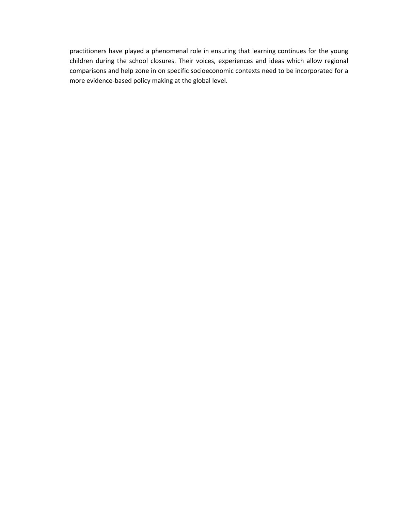practitioners have played a phenomenal role in ensuring that learning continues for the young children during the school closures. Their voices, experiences and ideas which allow regional comparisons and help zone in on specific socioeconomic contexts need to be incorporated for a more evidence-based policy making at the global level.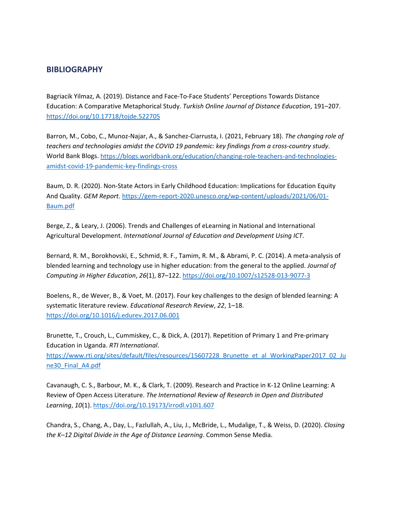#### **BIBLIOGRAPHY**

Bagriacik Yilmaz, A. (2019). Distance and Face-To-Face Students' Perceptions Towards Distance Education: A Comparative Metaphorical Study. *Turkish Online Journal of Distance Education*, 191–207. <https://doi.org/10.17718/tojde.522705>

Barron, M., Cobo, C., Munoz-Najar, A., & Sanchez-Ciarrusta, I. (2021, February 18). *The changing role of teachers and technologies amidst the COVID 19 pandemic: key findings from a cross-country study*. World Bank Blogs. [https://blogs.worldbank.org/education/changing-role-teachers-and-technologies](https://blogs.worldbank.org/education/changing-role-teachers-and-technologies-amidst-covid-19-pandemic-key-findings-cross)[amidst-covid-19-pandemic-key-findings-cross](https://blogs.worldbank.org/education/changing-role-teachers-and-technologies-amidst-covid-19-pandemic-key-findings-cross)

Baum, D. R. (2020). Non-State Actors in Early Childhood Education: Implications for Education Equity And Quality. *GEM Report*. [https://gem-report-2020.unesco.org/wp-content/uploads/2021/06/01-](https://gem-report-2020.unesco.org/wp-content/uploads/2021/06/01-Baum.pdf) [Baum.pdf](https://gem-report-2020.unesco.org/wp-content/uploads/2021/06/01-Baum.pdf)

Berge, Z., & Leary, J. (2006). Trends and Challenges of eLearning in National and International Agricultural Development. *International Journal of Education and Development Using ICT*.

Bernard, R. M., Borokhovski, E., Schmid, R. F., Tamim, R. M., & Abrami, P. C. (2014). A meta-analysis of blended learning and technology use in higher education: from the general to the applied. *Journal of Computing in Higher Education*, *26*(1), 87–122.<https://doi.org/10.1007/s12528-013-9077-3>

Boelens, R., de Wever, B., & Voet, M. (2017). Four key challenges to the design of blended learning: A systematic literature review. *Educational Research Review*, *22*, 1–18. <https://doi.org/10.1016/j.edurev.2017.06.001>

Brunette, T., Crouch, L., Cummiskey, C., & Dick, A. (2017). Repetition of Primary 1 and Pre-primary Education in Uganda. *RTI International*.

https://www.rti.org/sites/default/files/resources/15607228 Brunette\_et\_al\_WorkingPaper2017\_02\_Ju ne30 Final A4.pdf

Cavanaugh, C. S., Barbour, M. K., & Clark, T. (2009). Research and Practice in K-12 Online Learning: A Review of Open Access Literature. *The International Review of Research in Open and Distributed Learning*, *10*(1)[. https://doi.org/10.19173/irrodl.v10i1.607](https://doi.org/10.19173/irrodl.v10i1.607)

Chandra, S., Chang, A., Day, L., Fazlullah, A., Liu, J., McBride, L., Mudalige, T., & Weiss, D. (2020). *Closing the K–12 Digital Divide in the Age of Distance Learning*. Common Sense Media.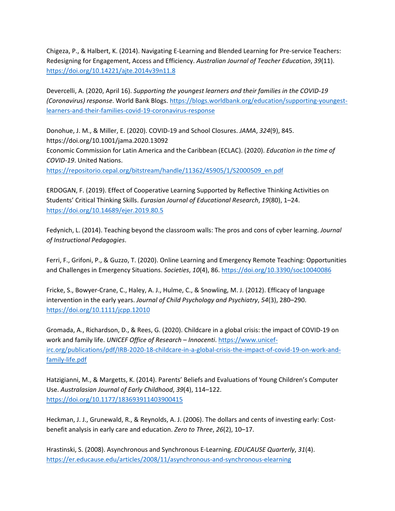Chigeza, P., & Halbert, K. (2014). Navigating E-Learning and Blended Learning for Pre-service Teachers: Redesigning for Engagement, Access and Efficiency. *Australian Journal of Teacher Education*, *39*(11). <https://doi.org/10.14221/ajte.2014v39n11.8>

Devercelli, A. (2020, April 16). *Supporting the youngest learners and their families in the COVID-19 (Coronavirus) response*. World Bank Blogs. [https://blogs.worldbank.org/education/supporting-youngest](https://blogs.worldbank.org/education/supporting-youngest-learners-and-their-families-covid-19-coronavirus-response)[learners-and-their-families-covid-19-coronavirus-response](https://blogs.worldbank.org/education/supporting-youngest-learners-and-their-families-covid-19-coronavirus-response)

Donohue, J. M., & Miller, E. (2020). COVID-19 and School Closures. *JAMA*, *324*(9), 845. https://doi.org/10.1001/jama.2020.13092 Economic Commission for Latin America and the Caribbean (ECLAC). (2020). *Education in the time of COVID-19*. United Nations.

[https://repositorio.cepal.org/bitstream/handle/11362/45905/1/S2000509\\_en.pdf](https://repositorio.cepal.org/bitstream/handle/11362/45905/1/S2000509_en.pdf)

ERDOGAN, F. (2019). Effect of Cooperative Learning Supported by Reflective Thinking Activities on Students' Critical Thinking Skills. *Eurasian Journal of Educational Research*, *19*(80), 1–24. <https://doi.org/10.14689/ejer.2019.80.5>

Fedynich, L. (2014). Teaching beyond the classroom walls: The pros and cons of cyber learning. *Journal of Instructional Pedagogies*.

Ferri, F., Grifoni, P., & Guzzo, T. (2020). Online Learning and Emergency Remote Teaching: Opportunities and Challenges in Emergency Situations. *Societies*, *10*(4), 86[. https://doi.org/10.3390/soc10040086](https://doi.org/10.3390/soc10040086)

Fricke, S., Bowyer-Crane, C., Haley, A. J., Hulme, C., & Snowling, M. J. (2012). Efficacy of language intervention in the early years. *Journal of Child Psychology and Psychiatry*, *54*(3), 280–290. <https://doi.org/10.1111/jcpp.12010>

Gromada, A., Richardson, D., & Rees, G. (2020). Childcare in a global crisis: the impact of COVID-19 on work and family life. *UNICEF Office of Research – Innocenti*[. https://www.unicef](https://www.unicef-irc.org/publications/pdf/IRB-2020-18-childcare-in-a-global-crisis-the-impact-of-covid-19-on-work-and-family-life.pdf)[irc.org/publications/pdf/IRB-2020-18-childcare-in-a-global-crisis-the-impact-of-covid-19-on-work-and](https://www.unicef-irc.org/publications/pdf/IRB-2020-18-childcare-in-a-global-crisis-the-impact-of-covid-19-on-work-and-family-life.pdf)[family-life.pdf](https://www.unicef-irc.org/publications/pdf/IRB-2020-18-childcare-in-a-global-crisis-the-impact-of-covid-19-on-work-and-family-life.pdf)

Hatzigianni, M., & Margetts, K. (2014). Parents' Beliefs and Evaluations of Young Children's Computer Use. *Australasian Journal of Early Childhood*, *39*(4), 114–122. <https://doi.org/10.1177/183693911403900415>

Heckman, J. J., Grunewald, R., & Reynolds, A. J. (2006). The dollars and cents of investing early: Costbenefit analysis in early care and education. *Zero to Three*, *26*(2), 10–17.

Hrastinski, S. (2008). Asynchronous and Synchronous E-Learning. *EDUCAUSE Quarterly*, *31*(4). <https://er.educause.edu/articles/2008/11/asynchronous-and-synchronous-elearning>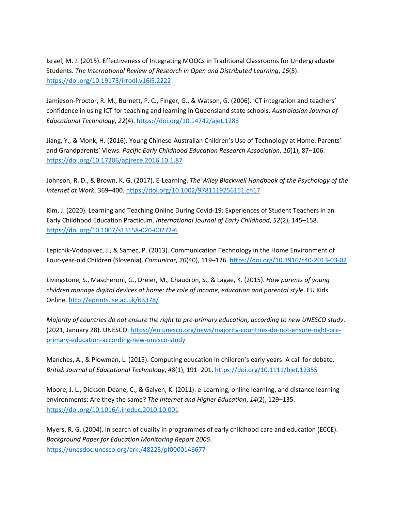Israel, M. J. (2015). Effectiveness of Integrating MOOCs in Traditional Classrooms for Undergraduate Students. *The International Review of Research in Open and Distributed Learning*, *16*(5). <https://doi.org/10.19173/irrodl.v16i5.2222>

Jamieson-Proctor, R. M., Burnett, P. C., Finger, G., & Watson, G. (2006). ICT integration and teachers' confidence in using ICT for teaching and learning in Queensland state schools. *Australasian Journal of Educational Technology*, *22*(4).<https://doi.org/10.14742/ajet.1283>

Jiang, Y., & Monk, H. (2016). Young Chinese-Australian Children's Use of Technology at Home: Parents' and Grandparents' Views. *Pacific Early Childhood Education Research Association*, *10*(1), 87–106. <https://doi.org/10.17206/apjrece.2016.10.1.87>

Johnson, R. D., & Brown, K. G. (2017). E-Learning. *The Wiley Blackwell Handbook of the Psychology of the Internet at Work*, 369–400[. https://doi.org/10.1002/9781119256151.ch17](https://doi.org/10.1002/9781119256151.ch17)

Kim, J. (2020). Learning and Teaching Online During Covid-19: Experiences of Student Teachers in an Early Childhood Education Practicum. *International Journal of Early Childhood*, *52*(2), 145–158. <https://doi.org/10.1007/s13158-020-00272-6>

Lepicnik-Vodopivec, J., & Samec, P. (2013). Communication Technology in the Home Environment of Four-year-old Children (Slovenia). *Comunicar*, *20*(40), 119–126.<https://doi.org/10.3916/c40-2013-03-02>

Livingstone, S., Mascheroni, G., Dreier, M., Chaudron, S., & Lagae, K. (2015). *How parents of young children manage digital devices at home: the role of income, education and parental style*. EU Kids Online[. http://eprints.lse.ac.uk/63378/](http://eprints.lse.ac.uk/63378/)

*Majority of countries do not ensure the right to pre-primary education, according to new UNESCO study*. (2021, January 28). UNESCO. [https://en.unesco.org/news/majority-countries-do-not-ensure-right-pre](https://en.unesco.org/news/majority-countries-do-not-ensure-right-pre-primary-education-according-new-unesco-study)[primary-education-according-new-unesco-study](https://en.unesco.org/news/majority-countries-do-not-ensure-right-pre-primary-education-according-new-unesco-study)

Manches, A., & Plowman, L. (2015). Computing education in children's early years: A call for debate. *British Journal of Educational Technology*, *48*(1), 191–201.<https://doi.org/10.1111/bjet.12355>

Moore, J. L., Dickson-Deane, C., & Galyen, K. (2011). e-Learning, online learning, and distance learning environments: Are they the same? *The Internet and Higher Education*, *14*(2), 129–135. <https://doi.org/10.1016/j.iheduc.2010.10.001>

Myers, R. G. (2004). In search of quality in programmes of early childhood care and education (ECCE). *Background Paper for Education Monitoring Report 2005*. <https://unesdoc.unesco.org/ark:/48223/pf0000146677>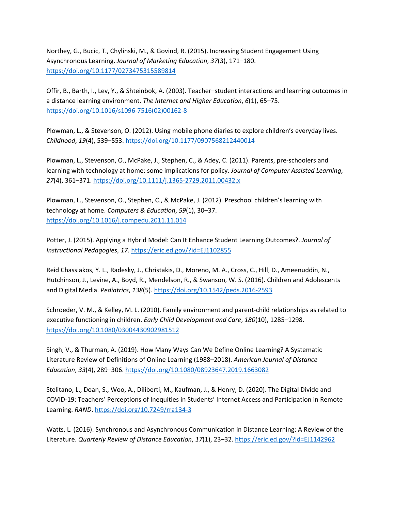Northey, G., Bucic, T., Chylinski, M., & Govind, R. (2015). Increasing Student Engagement Using Asynchronous Learning. *Journal of Marketing Education*, *37*(3), 171–180. <https://doi.org/10.1177/0273475315589814>

Offir, B., Barth, I., Lev, Y., & Shteinbok, A. (2003). Teacher–student interactions and learning outcomes in a distance learning environment. *The Internet and Higher Education*, *6*(1), 65–75. [https://doi.org/10.1016/s1096-7516\(02\)00162-8](https://doi.org/10.1016/s1096-7516(02)00162-8)

Plowman, L., & Stevenson, O. (2012). Using mobile phone diaries to explore children's everyday lives. *Childhood*, *19*(4), 539–553.<https://doi.org/10.1177/0907568212440014>

Plowman, L., Stevenson, O., McPake, J., Stephen, C., & Adey, C. (2011). Parents, pre-schoolers and learning with technology at home: some implications for policy. *Journal of Computer Assisted Learning*, *27*(4), 361–371.<https://doi.org/10.1111/j.1365-2729.2011.00432.x>

Plowman, L., Stevenson, O., Stephen, C., & McPake, J. (2012). Preschool children's learning with technology at home. *Computers & Education*, *59*(1), 30–37. <https://doi.org/10.1016/j.compedu.2011.11.014>

Potter, J. (2015). Applying a Hybrid Model: Can It Enhance Student Learning Outcomes?. *Journal of Instructional Pedagogies*, *17*[. https://eric.ed.gov/?id=EJ1102855](https://eric.ed.gov/?id=EJ1102855)

Reid Chassiakos, Y. L., Radesky, J., Christakis, D., Moreno, M. A., Cross, C., Hill, D., Ameenuddin, N., Hutchinson, J., Levine, A., Boyd, R., Mendelson, R., & Swanson, W. S. (2016). Children and Adolescents and Digital Media. *Pediatrics*, *138*(5).<https://doi.org/10.1542/peds.2016-2593>

Schroeder, V. M., & Kelley, M. L. (2010). Family environment and parent-child relationships as related to executive functioning in children. *Early Child Development and Care*, *180*(10), 1285–1298. <https://doi.org/10.1080/03004430902981512>

Singh, V., & Thurman, A. (2019). How Many Ways Can We Define Online Learning? A Systematic Literature Review of Definitions of Online Learning (1988–2018). *American Journal of Distance Education*, *33*(4), 289–306[. https://doi.org/10.1080/08923647.2019.1663082](https://doi.org/10.1080/08923647.2019.1663082)

Stelitano, L., Doan, S., Woo, A., Diliberti, M., Kaufman, J., & Henry, D. (2020). The Digital Divide and COVID-19: Teachers' Perceptions of Inequities in Students' Internet Access and Participation in Remote Learning. *RAND*.<https://doi.org/10.7249/rra134-3>

Watts, L. (2016). Synchronous and Asynchronous Communication in Distance Learning: A Review of the Literature. *Quarterly Review of Distance Education*, *17*(1), 23–32[. https://eric.ed.gov/?id=EJ1142962](https://eric.ed.gov/?id=EJ1142962)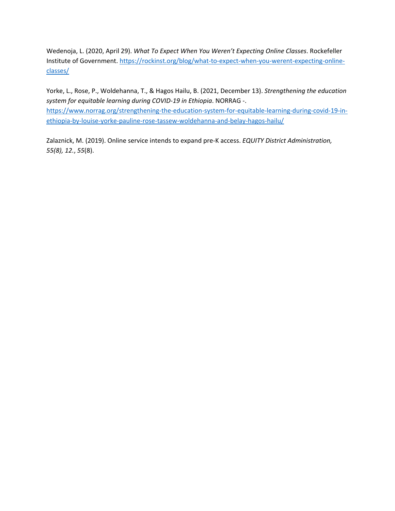Wedenoja, L. (2020, April 29). *What To Expect When You Weren't Expecting Online Classes*. Rockefeller Institute of Government[. https://rockinst.org/blog/what-to-expect-when-you-werent-expecting-online](https://rockinst.org/blog/what-to-expect-when-you-werent-expecting-online-classes/)[classes/](https://rockinst.org/blog/what-to-expect-when-you-werent-expecting-online-classes/)

Yorke, L., Rose, P., Woldehanna, T., & Hagos Hailu, B. (2021, December 13). *Strengthening the education system for equitable learning during COVID-19 in Ethiopia*. NORRAG -. [https://www.norrag.org/strengthening-the-education-system-for-equitable-learning-during-covid-19-in](https://www.norrag.org/strengthening-the-education-system-for-equitable-learning-during-covid-19-in-ethiopia-by-louise-yorke-pauline-rose-tassew-woldehanna-and-belay-hagos-hailu/)[ethiopia-by-louise-yorke-pauline-rose-tassew-woldehanna-and-belay-hagos-hailu/](https://www.norrag.org/strengthening-the-education-system-for-equitable-learning-during-covid-19-in-ethiopia-by-louise-yorke-pauline-rose-tassew-woldehanna-and-belay-hagos-hailu/)

Zalaznick, M. (2019). Online service intends to expand pre-K access. *EQUITY District Administration, 55(8), 12.*, *55*(8).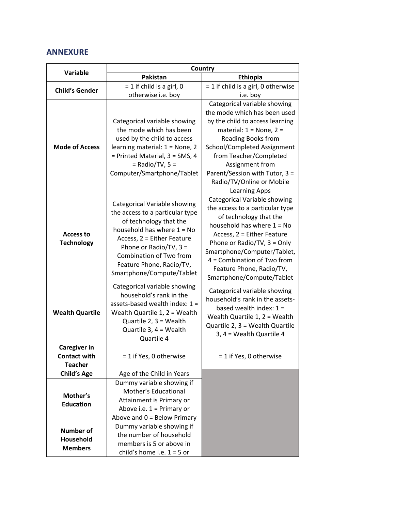## **ANNEXURE**

|                                                              | Country                                                                                                                                                                                                                                                               |                                                                                                                                                                                                                                                                                                               |  |
|--------------------------------------------------------------|-----------------------------------------------------------------------------------------------------------------------------------------------------------------------------------------------------------------------------------------------------------------------|---------------------------------------------------------------------------------------------------------------------------------------------------------------------------------------------------------------------------------------------------------------------------------------------------------------|--|
| <b>Variable</b>                                              | Pakistan                                                                                                                                                                                                                                                              | Ethiopia                                                                                                                                                                                                                                                                                                      |  |
| <b>Child's Gender</b>                                        | $= 1$ if child is a girl, 0                                                                                                                                                                                                                                           | $= 1$ if child is a girl, 0 otherwise                                                                                                                                                                                                                                                                         |  |
|                                                              | otherwise i.e. boy                                                                                                                                                                                                                                                    | i.e. boy                                                                                                                                                                                                                                                                                                      |  |
| <b>Mode of Access</b>                                        | Categorical variable showing                                                                                                                                                                                                                                          | Categorical variable showing<br>the mode which has been used<br>by the child to access learning                                                                                                                                                                                                               |  |
|                                                              | the mode which has been<br>used by the child to access<br>learning material: 1 = None, 2<br>= Printed Material, 3 = SMS, 4<br>$=$ Radio/TV, 5 $=$<br>Computer/Smartphone/Tablet                                                                                       | material: $1 = None$ , $2 =$<br><b>Reading Books from</b><br>School/Completed Assignment<br>from Teacher/Completed<br>Assignment from<br>Parent/Session with Tutor, 3 =<br>Radio/TV/Online or Mobile<br><b>Learning Apps</b>                                                                                  |  |
| <b>Access to</b><br><b>Technology</b>                        | Categorical Variable showing<br>the access to a particular type<br>of technology that the<br>household has where $1 = No$<br>Access, 2 = Either Feature<br>Phone or Radio/TV, 3 =<br>Combination of Two from<br>Feature Phone, Radio/TV,<br>Smartphone/Compute/Tablet | Categorical Variable showing<br>the access to a particular type<br>of technology that the<br>household has where $1 = No$<br>Access, 2 = Either Feature<br>Phone or Radio/TV, 3 = Only<br>Smartphone/Computer/Tablet,<br>4 = Combination of Two from<br>Feature Phone, Radio/TV,<br>Smartphone/Compute/Tablet |  |
| <b>Wealth Quartile</b>                                       | Categorical variable showing<br>household's rank in the<br>assets-based wealth index: $1 =$<br>Wealth Quartile 1, 2 = Wealth<br>Quartile $2, 3 =$ Wealth<br>Quartile 3, 4 = Wealth<br>Quartile 4                                                                      | Categorical variable showing<br>household's rank in the assets-<br>based wealth index: $1 =$<br>Wealth Quartile 1, 2 = Wealth<br>Quartile 2, 3 = Wealth Quartile<br>3, 4 = Wealth Quartile 4                                                                                                                  |  |
| <b>Caregiver in</b><br><b>Contact with</b><br><b>Teacher</b> | = 1 if Yes, 0 otherwise                                                                                                                                                                                                                                               | = 1 if Yes, 0 otherwise                                                                                                                                                                                                                                                                                       |  |
| <b>Child's Age</b>                                           | Age of the Child in Years                                                                                                                                                                                                                                             |                                                                                                                                                                                                                                                                                                               |  |
| Mother's<br><b>Education</b>                                 | Dummy variable showing if<br>Mother's Educational<br>Attainment is Primary or<br>Above i.e. $1 =$ Primary or<br>Above and $0 =$ Below Primary                                                                                                                         |                                                                                                                                                                                                                                                                                                               |  |
| <b>Number of</b><br>Household<br><b>Members</b>              | Dummy variable showing if<br>the number of household<br>members is 5 or above in<br>child's home i.e. $1 = 5$ or                                                                                                                                                      |                                                                                                                                                                                                                                                                                                               |  |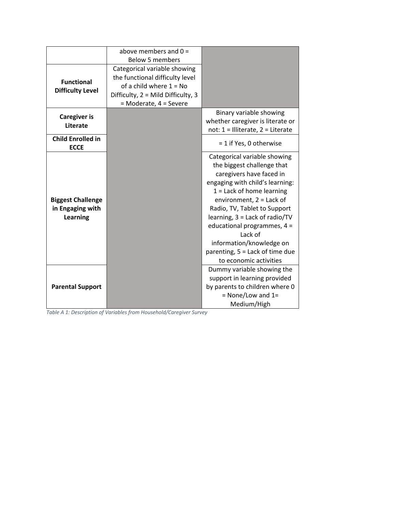|                                                                 | above members and $0 =$<br><b>Below 5 members</b>                                                                                                            |                                                                                                                                                                                                                                                                                                                                                                                               |
|-----------------------------------------------------------------|--------------------------------------------------------------------------------------------------------------------------------------------------------------|-----------------------------------------------------------------------------------------------------------------------------------------------------------------------------------------------------------------------------------------------------------------------------------------------------------------------------------------------------------------------------------------------|
| <b>Functional</b><br><b>Difficulty Level</b>                    | Categorical variable showing<br>the functional difficulty level<br>of a child where $1 = No$<br>Difficulty, 2 = Mild Difficulty, 3<br>= Moderate, 4 = Severe |                                                                                                                                                                                                                                                                                                                                                                                               |
| <b>Caregiver is</b><br>Literate                                 |                                                                                                                                                              | Binary variable showing<br>whether caregiver is literate or<br>not: $1 =$ Illiterate, $2 =$ Literate                                                                                                                                                                                                                                                                                          |
| <b>Child Enrolled in</b><br><b>ECCE</b>                         |                                                                                                                                                              | = 1 if Yes, 0 otherwise                                                                                                                                                                                                                                                                                                                                                                       |
| <b>Biggest Challenge</b><br>in Engaging with<br><b>Learning</b> |                                                                                                                                                              | Categorical variable showing<br>the biggest challenge that<br>caregivers have faced in<br>engaging with child's learning:<br>$1 =$ Lack of home learning<br>environment, $2 =$ Lack of<br>Radio, TV, Tablet to Support<br>learning, 3 = Lack of radio/TV<br>educational programmes, $4 =$<br>Lack of<br>information/knowledge on<br>parenting, 5 = Lack of time due<br>to economic activities |
| <b>Parental Support</b>                                         |                                                                                                                                                              | Dummy variable showing the<br>support in learning provided<br>by parents to children where 0<br>$=$ None/Low and 1=<br>Medium/High                                                                                                                                                                                                                                                            |

*Table A 1: Description of Variables from Household/Caregiver Survey*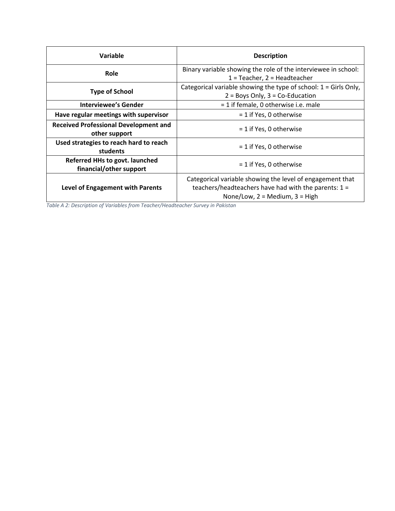| Variable                                                      | <b>Description</b>                                                                                                                                        |
|---------------------------------------------------------------|-----------------------------------------------------------------------------------------------------------------------------------------------------------|
| Role                                                          | Binary variable showing the role of the interviewee in school:<br>$1 =$ Teacher, $2 =$ Headteacher                                                        |
| <b>Type of School</b>                                         | Categorical variable showing the type of school: 1 = Girls Only,<br>$2 = Boys Only, 3 = Co-Education$                                                     |
| Interviewee's Gender                                          | = 1 if female, 0 otherwise i.e. male                                                                                                                      |
| Have regular meetings with supervisor                         | = 1 if Yes, 0 otherwise                                                                                                                                   |
| <b>Received Professional Development and</b><br>other support | $= 1$ if Yes, 0 otherwise                                                                                                                                 |
| Used strategies to reach hard to reach<br>students            | $= 1$ if Yes, 0 otherwise                                                                                                                                 |
| Referred HHs to govt. launched<br>financial/other support     | $= 1$ if Yes, 0 otherwise                                                                                                                                 |
| Level of Engagement with Parents                              | Categorical variable showing the level of engagement that<br>teachers/headteachers have had with the parents: $1 =$<br>None/Low, $2 =$ Medium, $3 =$ High |

*Table A 2: Description of Variables from Teacher/Headteacher Survey in Pakistan*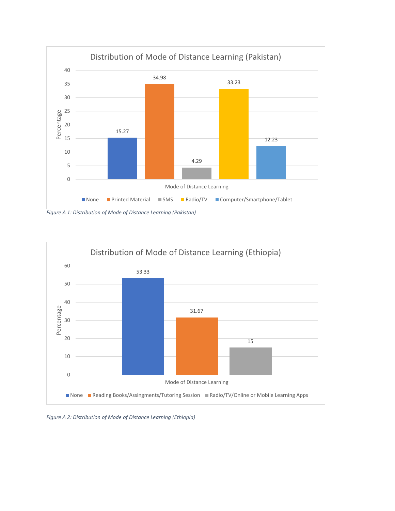

*Figure A 1: Distribution of Mode of Distance Learning (Pakistan)*



*Figure A 2: Distribution of Mode of Distance Learning (Ethiopia)*